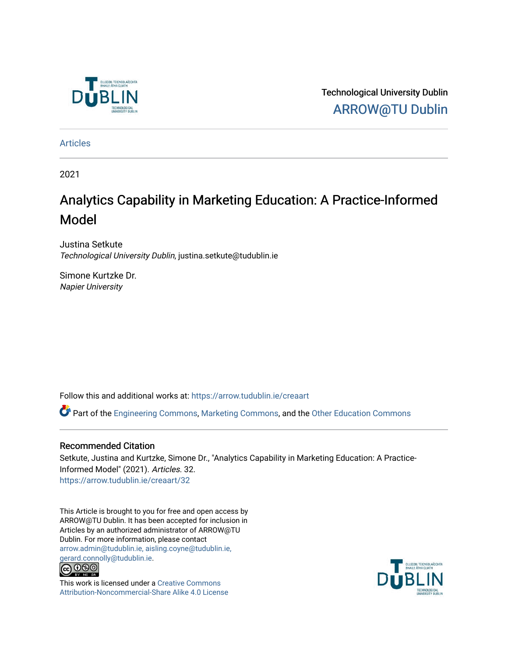

Technological University Dublin [ARROW@TU Dublin](https://arrow.tudublin.ie/) 

[Articles](https://arrow.tudublin.ie/creaart)

2021

# Analytics Capability in Marketing Education: A Practice-Informed Model

Justina Setkute Technological University Dublin, justina.setkute@tudublin.ie

Simone Kurtzke Dr. Napier University

Follow this and additional works at: [https://arrow.tudublin.ie/creaart](https://arrow.tudublin.ie/creaart?utm_source=arrow.tudublin.ie%2Fcreaart%2F32&utm_medium=PDF&utm_campaign=PDFCoverPages) 

Part of the [Engineering Commons](http://network.bepress.com/hgg/discipline/217?utm_source=arrow.tudublin.ie%2Fcreaart%2F32&utm_medium=PDF&utm_campaign=PDFCoverPages), [Marketing Commons,](http://network.bepress.com/hgg/discipline/638?utm_source=arrow.tudublin.ie%2Fcreaart%2F32&utm_medium=PDF&utm_campaign=PDFCoverPages) and the [Other Education Commons](http://network.bepress.com/hgg/discipline/811?utm_source=arrow.tudublin.ie%2Fcreaart%2F32&utm_medium=PDF&utm_campaign=PDFCoverPages) 

### Recommended Citation

Setkute, Justina and Kurtzke, Simone Dr., "Analytics Capability in Marketing Education: A Practice-Informed Model" (2021). Articles. 32. [https://arrow.tudublin.ie/creaart/32](https://arrow.tudublin.ie/creaart/32?utm_source=arrow.tudublin.ie%2Fcreaart%2F32&utm_medium=PDF&utm_campaign=PDFCoverPages)

This Article is brought to you for free and open access by ARROW@TU Dublin. It has been accepted for inclusion in Articles by an authorized administrator of ARROW@TU Dublin. For more information, please contact [arrow.admin@tudublin.ie, aisling.coyne@tudublin.ie,](mailto:arrow.admin@tudublin.ie,%20aisling.coyne@tudublin.ie,%20gerard.connolly@tudublin.ie)  [gerard.connolly@tudublin.ie](mailto:arrow.admin@tudublin.ie,%20aisling.coyne@tudublin.ie,%20gerard.connolly@tudublin.ie).<br>@000



This work is licensed under a [Creative Commons](http://creativecommons.org/licenses/by-nc-sa/4.0/) [Attribution-Noncommercial-Share Alike 4.0 License](http://creativecommons.org/licenses/by-nc-sa/4.0/)

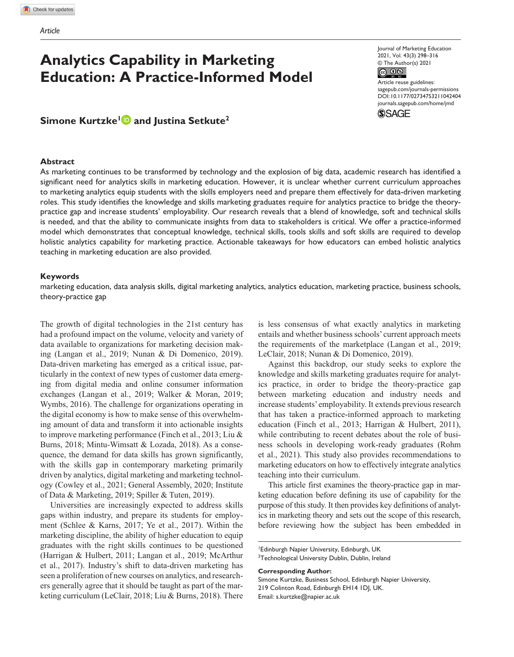## **Analytics Capability in Marketing Education: A Practice-Informed Model**

### **Simone Kurtzke<sup>1</sup> and Justina Setkute<sup>2</sup>**

#### **Abstract**

Journal of Marketing Education 2021, Vol. 43(3) 298–316 © The Author(s) 2021  $\circledcirc$  0  $\circledcirc$ 

DOI: 10.1177/02734753211042404 Article reuse guidelines: [sagepub.com/journals-permissions](https://us.sagepub.com/en-us/journals-permissions) [journals.sagepub.com/home/jmd](https://journals.sagepub.com/home/jmd)



As marketing continues to be transformed by technology and the explosion of big data, academic research has identified a significant need for analytics skills in marketing education. However, it is unclear whether current curriculum approaches to marketing analytics equip students with the skills employers need and prepare them effectively for data-driven marketing roles. This study identifies the knowledge and skills marketing graduates require for analytics practice to bridge the theorypractice gap and increase students' employability. Our research reveals that a blend of knowledge, soft and technical skills is needed, and that the ability to communicate insights from data to stakeholders is critical. We offer a practice-informed model which demonstrates that conceptual knowledge, technical skills, tools skills and soft skills are required to develop holistic analytics capability for marketing practice. Actionable takeaways for how educators can embed holistic analytics teaching in marketing education are also provided.

#### **Keywords**

marketing education, data analysis skills, digital marketing analytics, analytics education, marketing practice, business schools, theory-practice gap

The growth of digital technologies in the 21st century has had a profound impact on the volume, velocity and variety of data available to organizations for marketing decision making (Langan et al., 2019; Nunan & Di Domenico, 2019). Data-driven marketing has emerged as a critical issue, particularly in the context of new types of customer data emerging from digital media and online consumer information exchanges (Langan et al., 2019; Walker & Moran, 2019; Wymbs, 2016). The challenge for organizations operating in the digital economy is how to make sense of this overwhelming amount of data and transform it into actionable insights to improve marketing performance (Finch et al., 2013; Liu & Burns, 2018; Mintu-Wimsatt & Lozada, 2018). As a consequence, the demand for data skills has grown significantly, with the skills gap in contemporary marketing primarily driven by analytics, digital marketing and marketing technology (Cowley et al., 2021; General Assembly, 2020; Institute of Data & Marketing, 2019; Spiller & Tuten, 2019).

Universities are increasingly expected to address skills gaps within industry, and prepare its students for employment (Schlee & Karns, 2017; Ye et al., 2017). Within the marketing discipline, the ability of higher education to equip graduates with the right skills continues to be questioned (Harrigan & Hulbert, 2011; Langan et al., 2019; McArthur et al., 2017). Industry's shift to data-driven marketing has seen a proliferation of new courses on analytics, and researchers generally agree that it should be taught as part of the marketing curriculum (LeClair, 2018; Liu & Burns, 2018). There

is less consensus of what exactly analytics in marketing entails and whether business schools' current approach meets the requirements of the marketplace (Langan et al., 2019; LeClair, 2018; Nunan & Di Domenico, 2019).

Against this backdrop, our study seeks to explore the knowledge and skills marketing graduates require for analytics practice, in order to bridge the theory-practice gap between marketing education and industry needs and increase students' employability. It extends previous research that has taken a practice-informed approach to marketing education (Finch et al., 2013; Harrigan & Hulbert, 2011), while contributing to recent debates about the role of business schools in developing work-ready graduates (Rohm et al., 2021). This study also provides recommendations to marketing educators on how to effectively integrate analytics teaching into their curriculum.

This article first examines the theory-practice gap in marketing education before defining its use of capability for the purpose of this study. It then provides key definitions of analytics in marketing theory and sets out the scope of this research, before reviewing how the subject has been embedded in

#### **Corresponding Author:**

Simone Kurtzke, Business School, Edinburgh Napier University, 219 Colinton Road, Edinburgh EH14 1DJ, UK. Email: [s.kurtzke@napier.ac.uk](mailto:s.kurtzke@napier.ac.uk)

<sup>1</sup> Edinburgh Napier University, Edinburgh, UK <sup>2</sup>Technological University Dublin, Dublin, Ireland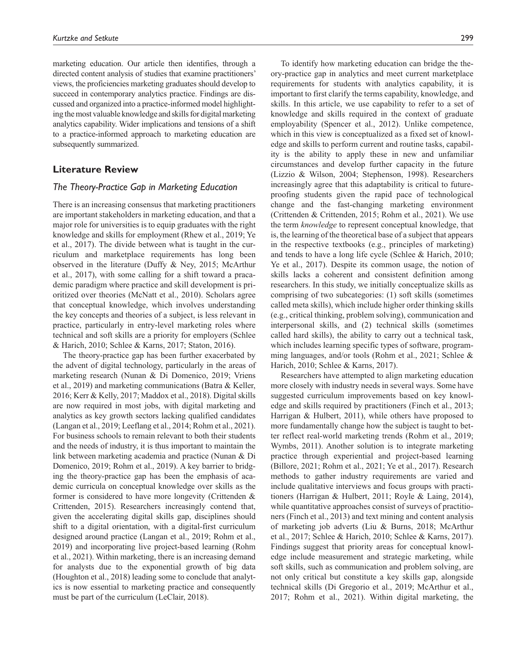marketing education. Our article then identifies, through a directed content analysis of studies that examine practitioners' views, the proficiencies marketing graduates should develop to succeed in contemporary analytics practice. Findings are discussed and organized into a practice-informed model highlighting the most valuable knowledge and skills for digital marketing analytics capability. Wider implications and tensions of a shift to a practice-informed approach to marketing education are subsequently summarized.

### **Literature Review**

#### *The Theory-Practice Gap in Marketing Education*

There is an increasing consensus that marketing practitioners are important stakeholders in marketing education, and that a major role for universities is to equip graduates with the right knowledge and skills for employment (Rhew et al., 2019; Ye et al., 2017). The divide between what is taught in the curriculum and marketplace requirements has long been observed in the literature (Duffy & Ney, 2015; McArthur et al., 2017), with some calling for a shift toward a pracademic paradigm where practice and skill development is prioritized over theories (McNatt et al., 2010). Scholars agree that conceptual knowledge, which involves understanding the key concepts and theories of a subject, is less relevant in practice, particularly in entry-level marketing roles where technical and soft skills are a priority for employers (Schlee & Harich, 2010; Schlee & Karns, 2017; Staton, 2016).

The theory-practice gap has been further exacerbated by the advent of digital technology, particularly in the areas of marketing research (Nunan & Di Domenico, 2019; Vriens et al., 2019) and marketing communications (Batra & Keller, 2016; Kerr & Kelly, 2017; Maddox et al., 2018). Digital skills are now required in most jobs, with digital marketing and analytics as key growth sectors lacking qualified candidates (Langan et al., 2019; Leeflang et al., 2014; Rohm et al., 2021). For business schools to remain relevant to both their students and the needs of industry, it is thus important to maintain the link between marketing academia and practice (Nunan & Di Domenico, 2019; Rohm et al., 2019). A key barrier to bridging the theory-practice gap has been the emphasis of academic curricula on conceptual knowledge over skills as the former is considered to have more longevity (Crittenden & Crittenden, 2015). Researchers increasingly contend that, given the accelerating digital skills gap, disciplines should shift to a digital orientation, with a digital-first curriculum designed around practice (Langan et al., 2019; Rohm et al., 2019) and incorporating live project-based learning (Rohm et al., 2021). Within marketing, there is an increasing demand for analysts due to the exponential growth of big data (Houghton et al., 2018) leading some to conclude that analytics is now essential to marketing practice and consequently must be part of the curriculum (LeClair, 2018).

To identify how marketing education can bridge the theory-practice gap in analytics and meet current marketplace requirements for students with analytics capability, it is important to first clarify the terms capability, knowledge, and skills. In this article, we use capability to refer to a set of knowledge and skills required in the context of graduate employability (Spencer et al., 2012). Unlike competence, which in this view is conceptualized as a fixed set of knowledge and skills to perform current and routine tasks, capability is the ability to apply these in new and unfamiliar circumstances and develop further capacity in the future (Lizzio & Wilson, 2004; Stephenson, 1998). Researchers increasingly agree that this adaptability is critical to futureproofing students given the rapid pace of technological change and the fast-changing marketing environment (Crittenden & Crittenden, 2015; Rohm et al., 2021). We use the term *knowledge* to represent conceptual knowledge, that is, the learning of the theoretical base of a subject that appears in the respective textbooks (e.g., principles of marketing) and tends to have a long life cycle (Schlee & Harich, 2010; Ye et al., 2017). Despite its common usage, the notion of skills lacks a coherent and consistent definition among researchers. In this study, we initially conceptualize skills as comprising of two subcategories: (1) soft skills (sometimes called meta skills), which include higher order thinking skills (e.g., critical thinking, problem solving), communication and interpersonal skills, and (2) technical skills (sometimes called hard skills), the ability to carry out a technical task, which includes learning specific types of software, programming languages, and/or tools (Rohm et al., 2021; Schlee & Harich, 2010; Schlee & Karns, 2017).

Researchers have attempted to align marketing education more closely with industry needs in several ways. Some have suggested curriculum improvements based on key knowledge and skills required by practitioners (Finch et al., 2013; Harrigan & Hulbert, 2011), while others have proposed to more fundamentally change how the subject is taught to better reflect real-world marketing trends (Rohm et al., 2019; Wymbs, 2011). Another solution is to integrate marketing practice through experiential and project-based learning (Billore, 2021; Rohm et al., 2021; Ye et al., 2017). Research methods to gather industry requirements are varied and include qualitative interviews and focus groups with practitioners (Harrigan & Hulbert, 2011; Royle & Laing, 2014), while quantitative approaches consist of surveys of practitioners (Finch et al., 2013) and text mining and content analysis of marketing job adverts (Liu & Burns, 2018; McArthur et al., 2017; Schlee & Harich, 2010; Schlee & Karns, 2017). Findings suggest that priority areas for conceptual knowledge include measurement and strategic marketing, while soft skills, such as communication and problem solving, are not only critical but constitute a key skills gap, alongside technical skills (Di Gregorio et al., 2019; McArthur et al., 2017; Rohm et al., 2021). Within digital marketing, the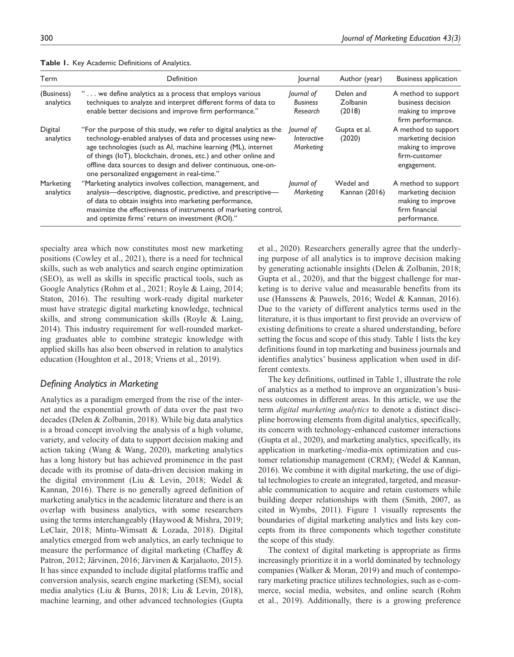| Term                    | Definition                                                                                                                                                                                                                                                                                                                                                                               | Journal                                   | Author (year)                   | <b>Business application</b>                                                                      |
|-------------------------|------------------------------------------------------------------------------------------------------------------------------------------------------------------------------------------------------------------------------------------------------------------------------------------------------------------------------------------------------------------------------------------|-------------------------------------------|---------------------------------|--------------------------------------------------------------------------------------------------|
| (Business)<br>analytics | " we define analytics as a process that employs various<br>techniques to analyze and interpret different forms of data to<br>enable better decisions and improve firm performance."                                                                                                                                                                                                      | Journal of<br><b>Business</b><br>Research | Delen and<br>Zolbanin<br>(2018) | A method to support<br>business decision<br>making to improve<br>firm performance.               |
| Digital<br>analytics    | "For the purpose of this study, we refer to digital analytics as the<br>technology-enabled analyses of data and processes using new-<br>age technologies (such as AI, machine learning (ML), internet<br>of things (IoT), blockchain, drones, etc.) and other online and<br>offline data sources to design and deliver continuous, one-on-<br>one personalized engagement in real-time." | lournal of<br>Interactive<br>Marketing    | Gupta et al.<br>(2020)          | A method to support<br>marketing decision<br>making to improve<br>firm-customer<br>engagement.   |
| Marketing<br>analytics  | "Marketing analytics involves collection, management, and<br>analysis—descriptive, diagnostic, predictive, and prescriptive—<br>of data to obtain insights into marketing performance,<br>maximize the effectiveness of instruments of marketing control,<br>and optimize firms' return on investment (ROI)."                                                                            | Journal of<br>Marketing                   | Wedel and<br>Kannan (2016)      | A method to support<br>marketing decision<br>making to improve<br>firm financial<br>performance. |

**Table 1.** Key Academic Definitions of Analytics.

specialty area which now constitutes most new marketing positions (Cowley et al., 2021), there is a need for technical skills, such as web analytics and search engine optimization (SEO), as well as skills in specific practical tools, such as Google Analytics (Rohm et al., 2021; Royle & Laing, 2014; Staton, 2016). The resulting work-ready digital marketer must have strategic digital marketing knowledge, technical skills, and strong communication skills (Royle & Laing, 2014). This industry requirement for well-rounded marketing graduates able to combine strategic knowledge with applied skills has also been observed in relation to analytics education (Houghton et al., 2018; Vriens et al., 2019).

### *Defining Analytics in Marketing*

Analytics as a paradigm emerged from the rise of the internet and the exponential growth of data over the past two decades (Delen & Zolbanin, 2018). While big data analytics is a broad concept involving the analysis of a high volume, variety, and velocity of data to support decision making and action taking (Wang & Wang, 2020), marketing analytics has a long history but has achieved prominence in the past decade with its promise of data-driven decision making in the digital environment (Liu & Levin, 2018; Wedel & Kannan, 2016). There is no generally agreed definition of marketing analytics in the academic literature and there is an overlap with business analytics, with some researchers using the terms interchangeably (Haywood & Mishra, 2019; LeClair, 2018; Mintu-Wimsatt & Lozada, 2018). Digital analytics emerged from web analytics, an early technique to measure the performance of digital marketing (Chaffey & Patron, 2012; Järvinen, 2016; Järvinen & Karjaluoto, 2015). It has since expanded to include digital platforms traffic and conversion analysis, search engine marketing (SEM), social media analytics (Liu & Burns, 2018; Liu & Levin, 2018), machine learning, and other advanced technologies (Gupta

et al., 2020). Researchers generally agree that the underlying purpose of all analytics is to improve decision making by generating actionable insights (Delen & Zolbanin, 2018; Gupta et al., 2020), and that the biggest challenge for marketing is to derive value and measurable benefits from its use (Hanssens & Pauwels, 2016; Wedel & Kannan, 2016). Due to the variety of different analytics terms used in the literature, it is thus important to first provide an overview of existing definitions to create a shared understanding, before setting the focus and scope of this study. Table 1 lists the key definitions found in top marketing and business journals and identifies analytics' business application when used in different contexts.

The key definitions, outlined in Table 1, illustrate the role of analytics as a method to improve an organization's business outcomes in different areas. In this article, we use the term *digital marketing analytics* to denote a distinct discipline borrowing elements from digital analytics, specifically, its concern with technology-enhanced customer interactions (Gupta et al., 2020), and marketing analytics, specifically, its application in marketing-/media-mix optimization and customer relationship management (CRM); (Wedel & Kannan, 2016). We combine it with digital marketing, the use of digital technologies to create an integrated, targeted, and measurable communication to acquire and retain customers while building deeper relationships with them (Smith, 2007, as cited in Wymbs, 2011). Figure 1 visually represents the boundaries of digital marketing analytics and lists key concepts from its three components which together constitute the scope of this study.

The context of digital marketing is appropriate as firms increasingly prioritize it in a world dominated by technology companies (Walker & Moran, 2019) and much of contemporary marketing practice utilizes technologies, such as e-commerce, social media, websites, and online search (Rohm et al., 2019). Additionally, there is a growing preference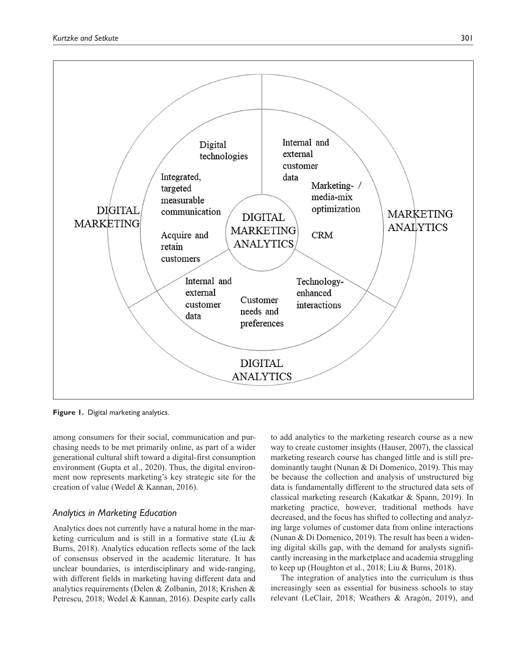

**Figure 1.** Digital marketing analytics.

among consumers for their social, communication and purchasing needs to be met primarily online, as part of a wider generational cultural shift toward a digital-first consumption environment (Gupta et al., 2020). Thus, the digital environment now represents marketing's key strategic site for the creation of value (Wedel & Kannan, 2016).

### *Analytics in Marketing Education*

Analytics does not currently have a natural home in the marketing curriculum and is still in a formative state (Liu & Burns, 2018). Analytics education reflects some of the lack of consensus observed in the academic literature. It has unclear boundaries, is interdisciplinary and wide-ranging, with different fields in marketing having different data and analytics requirements (Delen & Zolbanin, 2018; Krishen & Petrescu, 2018; Wedel & Kannan, 2016). Despite early calls to add analytics to the marketing research course as a new way to create customer insights (Hauser, 2007), the classical marketing research course has changed little and is still predominantly taught (Nunan & Di Domenico, 2019). This may be because the collection and analysis of unstructured big data is fundamentally different to the structured data sets of classical marketing research (Kakatkar & Spann, 2019). In marketing practice, however, traditional methods have decreased, and the focus has shifted to collecting and analyzing large volumes of customer data from online interactions (Nunan & Di Domenico, 2019). The result has been a widening digital skills gap, with the demand for analysts significantly increasing in the marketplace and academia struggling to keep up (Houghton et al., 2018; Liu & Burns, 2018).

The integration of analytics into the curriculum is thus increasingly seen as essential for business schools to stay relevant (LeClair, 2018; Weathers & Aragón, 2019), and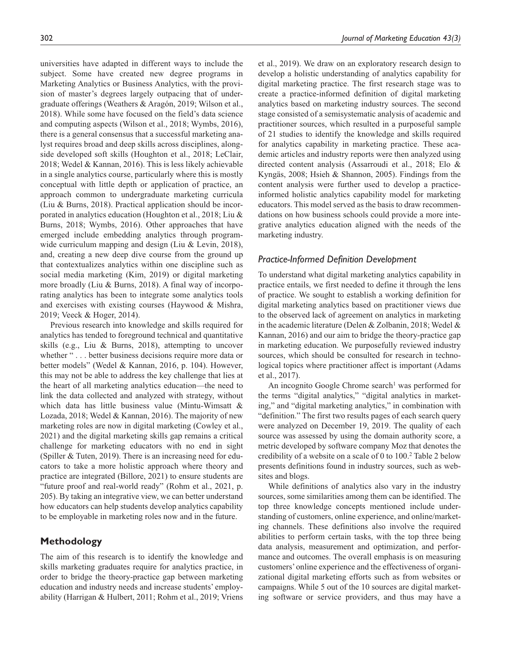universities have adapted in different ways to include the subject. Some have created new degree programs in Marketing Analytics or Business Analytics, with the provision of master's degrees largely outpacing that of undergraduate offerings (Weathers & Aragón, 2019; Wilson et al., 2018). While some have focused on the field's data science and computing aspects (Wilson et al., 2018; Wymbs, 2016), there is a general consensus that a successful marketing analyst requires broad and deep skills across disciplines, alongside developed soft skills (Houghton et al., 2018; LeClair, 2018; Wedel & Kannan, 2016). This is less likely achievable in a single analytics course, particularly where this is mostly conceptual with little depth or application of practice, an approach common to undergraduate marketing curricula (Liu & Burns, 2018). Practical application should be incorporated in analytics education (Houghton et al., 2018; Liu & Burns, 2018; Wymbs, 2016). Other approaches that have emerged include embedding analytics through programwide curriculum mapping and design (Liu & Levin, 2018), and, creating a new deep dive course from the ground up that contextualizes analytics within one discipline such as social media marketing (Kim, 2019) or digital marketing more broadly (Liu & Burns, 2018). A final way of incorporating analytics has been to integrate some analytics tools and exercises with existing courses (Haywood & Mishra, 2019; Veeck & Hoger, 2014).

Previous research into knowledge and skills required for analytics has tended to foreground technical and quantitative skills (e.g., Liu & Burns, 2018), attempting to uncover whether "... better business decisions require more data or better models" (Wedel & Kannan, 2016, p. 104). However, this may not be able to address the key challenge that lies at the heart of all marketing analytics education—the need to link the data collected and analyzed with strategy, without which data has little business value (Mintu-Wimsatt & Lozada, 2018; Wedel & Kannan, 2016). The majority of new marketing roles are now in digital marketing (Cowley et al., 2021) and the digital marketing skills gap remains a critical challenge for marketing educators with no end in sight (Spiller & Tuten, 2019). There is an increasing need for educators to take a more holistic approach where theory and practice are integrated (Billore, 2021) to ensure students are "future proof and real-world ready" (Rohm et al., 2021, p. 205). By taking an integrative view, we can better understand how educators can help students develop analytics capability to be employable in marketing roles now and in the future.

### **Methodology**

The aim of this research is to identify the knowledge and skills marketing graduates require for analytics practice, in order to bridge the theory-practice gap between marketing education and industry needs and increase students' employability (Harrigan & Hulbert, 2011; Rohm et al., 2019; Vriens

et al., 2019). We draw on an exploratory research design to develop a holistic understanding of analytics capability for digital marketing practice. The first research stage was to create a practice-informed definition of digital marketing analytics based on marketing industry sources. The second stage consisted of a semisystematic analysis of academic and practitioner sources, which resulted in a purposeful sample of 21 studies to identify the knowledge and skills required for analytics capability in marketing practice. These academic articles and industry reports were then analyzed using directed content analysis (Assarroudi et al., 2018; Elo & Kyngäs, 2008; Hsieh & Shannon, 2005). Findings from the content analysis were further used to develop a practiceinformed holistic analytics capability model for marketing educators. This model served as the basis to draw recommendations on how business schools could provide a more integrative analytics education aligned with the needs of the marketing industry.

### *Practice-Informed Definition Development*

To understand what digital marketing analytics capability in practice entails, we first needed to define it through the lens of practice. We sought to establish a working definition for digital marketing analytics based on practitioner views due to the observed lack of agreement on analytics in marketing in the academic literature (Delen & Zolbanin, 2018; Wedel & Kannan, 2016) and our aim to bridge the theory-practice gap in marketing education. We purposefully reviewed industry sources, which should be consulted for research in technological topics where practitioner affect is important (Adams et al., 2017).

An incognito Google Chrome search<sup>1</sup> was performed for the terms "digital analytics," "digital analytics in marketing," and "digital marketing analytics," in combination with "definition." The first two results pages of each search query were analyzed on December 19, 2019. The quality of each source was assessed by using the domain authority score, a metric developed by software company Moz that denotes the credibility of a website on a scale of 0 to 100.<sup>2</sup> Table 2 below presents definitions found in industry sources, such as websites and blogs.

While definitions of analytics also vary in the industry sources, some similarities among them can be identified. The top three knowledge concepts mentioned include understanding of customers, online experience, and online/marketing channels. These definitions also involve the required abilities to perform certain tasks, with the top three being data analysis, measurement and optimization, and performance and outcomes. The overall emphasis is on measuring customers' online experience and the effectiveness of organizational digital marketing efforts such as from websites or campaigns. While 5 out of the 10 sources are digital marketing software or service providers, and thus may have a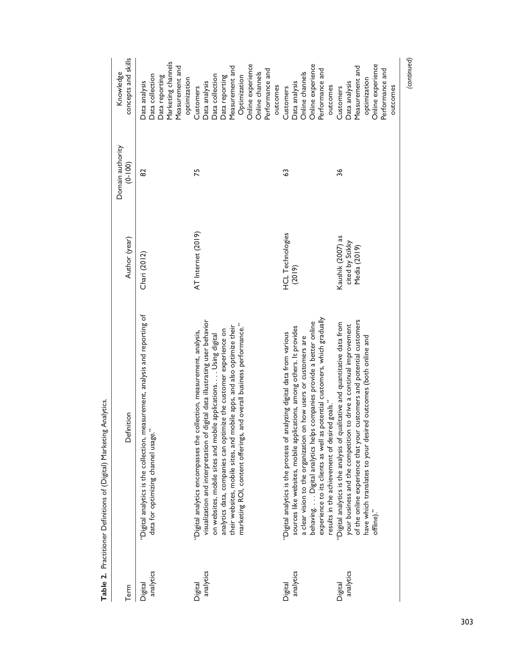| Term                 | Definition                                                                                                                                                                                                                                                                                                                                                                                                                                           | Author (year)                                        | Domain authority<br>$(0 - 100)$ | concepts and skills<br>Knowledge                                                                                                                                          |
|----------------------|------------------------------------------------------------------------------------------------------------------------------------------------------------------------------------------------------------------------------------------------------------------------------------------------------------------------------------------------------------------------------------------------------------------------------------------------------|------------------------------------------------------|---------------------------------|---------------------------------------------------------------------------------------------------------------------------------------------------------------------------|
| analytics<br>Digital | "Digital analytics is the collection, measurement, analysis and reporting of<br>$\ddot{\phantom{0}}$<br>data for optimizing channel usage.                                                                                                                                                                                                                                                                                                           | Chari (2012)                                         | 82                              | Marketing channels<br>Measurement and<br>Data collection<br>Data reporting<br>optimization<br>Data analysis                                                               |
| analytics<br>Digital | visualization and interpretation of digital data illustrating user behavior<br>and overall business performance."<br>their websites, mobile sites, and mobile apps, and also optimize their<br>analytics data, companies can optimize the customer experience on<br>collection, measurement, analysis,<br>on websites, mobile sites and mobile applications Using digital<br>marketing ROI, content offerings,<br>"Digital analytics encompasses the | AT Internet (2019)                                   | 75                              | Online experience<br>Measurement and<br>Performance and<br>Online channels<br>Data collection<br>Data reporting<br>Optimization<br>Data analysis<br>outcomes<br>Customers |
| analytics<br>Digital | experience to its clients as well as potential customers, which gradually<br>behaving. Digital analytics helps companies provide a better online<br>sources like websites, mobile applications, among others. It provides<br>"Digital analytics is the process of analyzing digital data from various<br>a clear vision to the organization on how users or customers are<br>results in the achievement of desired goals."                           | <b>HCL Technologies</b><br>(2019)                    | G3                              | Online experience<br>Performance and<br>Online channels<br>Data analysis<br>outcomes<br>Customers                                                                         |
| analytics<br>Digital | of the online experience that your customers and potential customers<br>"Digital analytics is the analysis of qualitative and quantitative data from<br>your business and the competition to drive a continual improvement<br>have which translates to your desired outcomes (both online and<br>offline)."                                                                                                                                          | Kaushik (2007) as<br>cited by Stikky<br>Media (2019) | 36                              | Online experience<br>Measurement and<br>Performance and<br>optimization<br>Data analysis<br>outcomes<br>Customers                                                         |
|                      |                                                                                                                                                                                                                                                                                                                                                                                                                                                      |                                                      |                                 | (continued)                                                                                                                                                               |

Table 2. Practitioner Definitions of (Digital) Marketing Analytics. **Table 2.** Practitioner Definitions of (Digital) Marketing Analytics.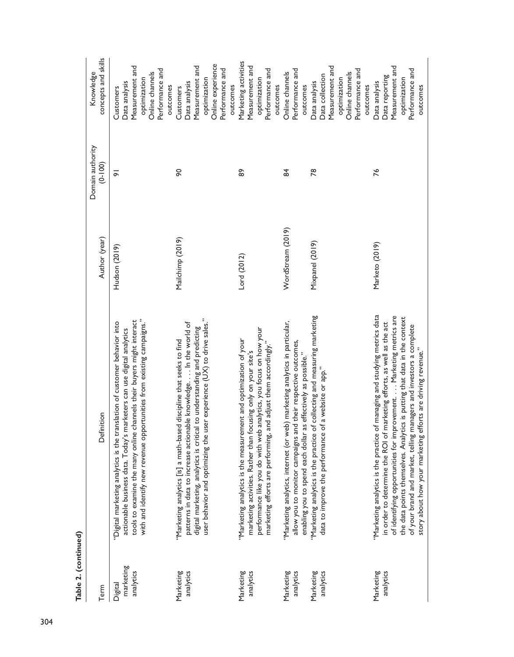| ۰<br>٦<br>c |  |
|-------------|--|
| e           |  |
| ĵ           |  |

| Term                              | Definition                                                                                                                                                                                                                                                                                                                                                                                                                                            | Author (year)     | Domain authority<br>$(0 - 100)$ | concepts and skills<br>Knowledge                                                                                              |
|-----------------------------------|-------------------------------------------------------------------------------------------------------------------------------------------------------------------------------------------------------------------------------------------------------------------------------------------------------------------------------------------------------------------------------------------------------------------------------------------------------|-------------------|---------------------------------|-------------------------------------------------------------------------------------------------------------------------------|
| marketing<br>analytics<br>Digital | with and identify new revenue opportunities from existing campaigns."<br>tools to examine the many online channels their buyers might interact<br>"Digital marketing analytics is the translation of customer behavior into<br>actionable business data. Today's marketers can use digital analytics                                                                                                                                                  | Hudson (2019)     | $\overline{\sigma}$             | Measurement and<br>Performance and<br>Online channels<br>optimization<br>Data analysis<br>Customers                           |
| Marketing<br>analytics            | user behavior and optimizing the user experience (UX) to drive sales."<br>patterns in data to increase actionable knowledge In the world of<br>digital marketing, analytics is critical to understanding and predicting<br>"Marketing analytics [is] a math-based discipline that seeks to find                                                                                                                                                       | Mailchimp (2019)  | 90                              | Online experience<br>Measurement and<br>Performance and<br>optimization<br>Data analysis<br>outcomes<br>outcomes<br>Customers |
| Marketing<br>analytics            | performance like you do with web analytics, you focus on how your<br>"Marketing analytics is the measurement and optimization of your<br>marketing efforts are performing, and adjust them accordingly."<br>marketing activities. Rather than focusing only on your site's                                                                                                                                                                            | Lord (2012)       | 89                              | Marketing activities<br>Measurement and<br>Performance and<br>optimization<br>outcomes                                        |
| Marketing<br>analytics            | "Marketing analytics, internet (or web) marketing analytics in particular,<br>allow you to monitor campaigns and their respective outcomes,<br>enabling you to spend each dollar as effectively as possible."                                                                                                                                                                                                                                         | WordStream (2019) | 84                              | Performance and<br>Online channels<br>outcomes                                                                                |
| Marketing<br>analytics            | "Marketing analytics is the practice of collecting and measuring marketing<br>data to improve the performance of a website or app."                                                                                                                                                                                                                                                                                                                   | Mixpanel (2019)   | జ                               | Measurement and<br>Performance and<br>Online channels<br>Data collection<br>optimization<br>Data analysis<br>outcomes         |
| Marketing<br>analytics            | "Marketing analytics is the practice of managing and studying metrics data<br>of identifying opportunities for improvement. Marketing metrics are<br>the data points themselves. Analytics is putting that data in the context<br>in order to determine the ROI of marketing efforts, as well as the act<br>managers and investors a complete<br>efforts are driving revenue."<br>of your brand and market, telling<br>story about how your marketing | Marketo (2019)    | 76                              | Measurement and<br>Performance and<br>Data reporting<br>optimization<br>Data analysis<br>outcomes                             |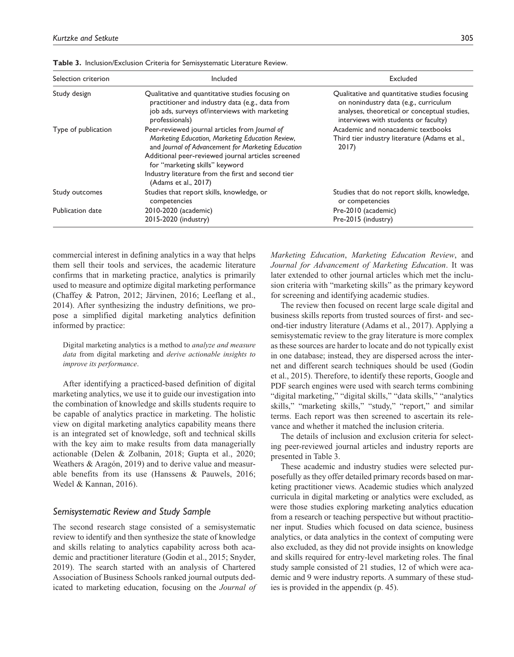| Selection criterion | Included                                                                                                                                                                                                                                                                                                                       | Excluded                                                                                                                                                                       |
|---------------------|--------------------------------------------------------------------------------------------------------------------------------------------------------------------------------------------------------------------------------------------------------------------------------------------------------------------------------|--------------------------------------------------------------------------------------------------------------------------------------------------------------------------------|
| Study design        | Qualitative and quantitative studies focusing on<br>practitioner and industry data (e.g., data from<br>job ads, surveys of/interviews with marketing<br>professionals)                                                                                                                                                         | Qualitative and quantitative studies focusing<br>on nonindustry data (e.g., curriculum<br>analyses, theoretical or conceptual studies,<br>interviews with students or faculty) |
| Type of publication | Peer-reviewed journal articles from Journal of<br>Marketing Education, Marketing Education Review,<br>and Journal of Advancement for Marketing Education<br>Additional peer-reviewed journal articles screened<br>for "marketing skills" keyword<br>Industry literature from the first and second tier<br>(Adams et al., 2017) | Academic and nonacademic textbooks<br>Third tier industry literature (Adams et al.,<br>2017                                                                                    |
| Study outcomes      | Studies that report skills, knowledge, or<br>competencies                                                                                                                                                                                                                                                                      | Studies that do not report skills, knowledge,<br>or competencies                                                                                                               |
| Publication date    | 2010-2020 (academic)<br>2015-2020 (industry)                                                                                                                                                                                                                                                                                   | Pre-2010 (academic)<br>Pre-2015 (industry)                                                                                                                                     |

**Table 3.** Inclusion/Exclusion Criteria for Semisystematic Literature Review.

commercial interest in defining analytics in a way that helps them sell their tools and services, the academic literature confirms that in marketing practice, analytics is primarily used to measure and optimize digital marketing performance (Chaffey & Patron, 2012; Järvinen, 2016; Leeflang et al., 2014). After synthesizing the industry definitions, we propose a simplified digital marketing analytics definition informed by practice:

Digital marketing analytics is a method to *analyze and measure data* from digital marketing and *derive actionable insights to improve its performance*.

After identifying a practiced-based definition of digital marketing analytics, we use it to guide our investigation into the combination of knowledge and skills students require to be capable of analytics practice in marketing. The holistic view on digital marketing analytics capability means there is an integrated set of knowledge, soft and technical skills with the key aim to make results from data managerially actionable (Delen & Zolbanin, 2018; Gupta et al., 2020; Weathers & Aragón, 2019) and to derive value and measurable benefits from its use (Hanssens & Pauwels, 2016; Wedel & Kannan, 2016).

#### *Semisystematic Review and Study Sample*

The second research stage consisted of a semisystematic review to identify and then synthesize the state of knowledge and skills relating to analytics capability across both academic and practitioner literature (Godin et al., 2015; Snyder, 2019). The search started with an analysis of Chartered Association of Business Schools ranked journal outputs dedicated to marketing education, focusing on the *Journal of* 

*Marketing Education*, *Marketing Education Review*, and *Journal for Advancement of Marketing Education*. It was later extended to other journal articles which met the inclusion criteria with "marketing skills" as the primary keyword for screening and identifying academic studies.

The review then focused on recent large scale digital and business skills reports from trusted sources of first- and second-tier industry literature (Adams et al., 2017). Applying a semisystematic review to the gray literature is more complex as these sources are harder to locate and do not typically exist in one database; instead, they are dispersed across the internet and different search techniques should be used (Godin et al., 2015). Therefore, to identify these reports, Google and PDF search engines were used with search terms combining "digital marketing," "digital skills," "data skills," "analytics skills," "marketing skills," "study," "report," and similar terms. Each report was then screened to ascertain its relevance and whether it matched the inclusion criteria.

The details of inclusion and exclusion criteria for selecting peer-reviewed journal articles and industry reports are presented in Table 3.

These academic and industry studies were selected purposefully as they offer detailed primary records based on marketing practitioner views. Academic studies which analyzed curricula in digital marketing or analytics were excluded, as were those studies exploring marketing analytics education from a research or teaching perspective but without practitioner input. Studies which focused on data science, business analytics, or data analytics in the context of computing were also excluded, as they did not provide insights on knowledge and skills required for entry-level marketing roles. The final study sample consisted of 21 studies, 12 of which were academic and 9 were industry reports. A summary of these studies is provided in the appendix (p. 45).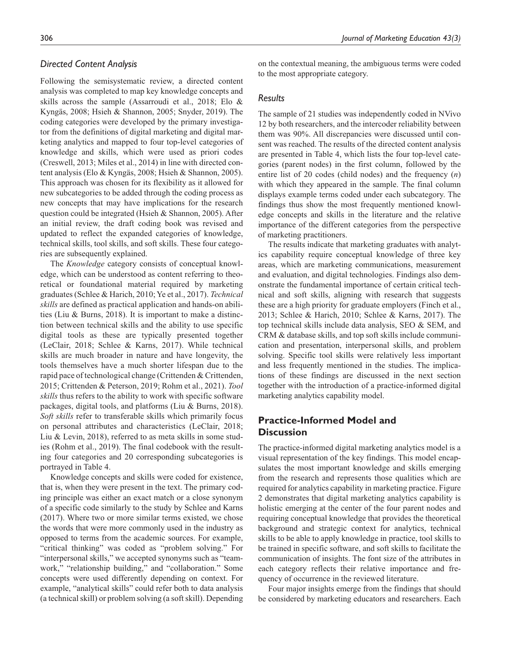### *Directed Content Analysis*

Following the semisystematic review, a directed content analysis was completed to map key knowledge concepts and skills across the sample (Assarroudi et al., 2018; Elo & Kyngäs, 2008; Hsieh & Shannon, 2005; Snyder, 2019). The coding categories were developed by the primary investigator from the definitions of digital marketing and digital marketing analytics and mapped to four top-level categories of knowledge and skills, which were used as priori codes (Creswell, 2013; Miles et al., 2014) in line with directed content analysis (Elo & Kyngäs, 2008; Hsieh & Shannon, 2005). This approach was chosen for its flexibility as it allowed for new subcategories to be added through the coding process as new concepts that may have implications for the research question could be integrated (Hsieh & Shannon, 2005). After an initial review, the draft coding book was revised and updated to reflect the expanded categories of knowledge, technical skills, tool skills, and soft skills. These four categories are subsequently explained.

The *Knowledge* category consists of conceptual knowledge, which can be understood as content referring to theoretical or foundational material required by marketing graduates (Schlee & Harich, 2010; Ye et al., 2017). *Technical skills* are defined as practical application and hands-on abilities (Liu & Burns, 2018). It is important to make a distinction between technical skills and the ability to use specific digital tools as these are typically presented together (LeClair, 2018; Schlee & Karns, 2017). While technical skills are much broader in nature and have longevity, the tools themselves have a much shorter lifespan due to the rapid pace of technological change (Crittenden & Crittenden, 2015; Crittenden & Peterson, 2019; Rohm et al., 2021). *Tool skills* thus refers to the ability to work with specific software packages, digital tools, and platforms (Liu & Burns, 2018). *Soft skills* refer to transferable skills which primarily focus on personal attributes and characteristics (LeClair, 2018; Liu & Levin, 2018), referred to as meta skills in some studies (Rohm et al., 2019). The final codebook with the resulting four categories and 20 corresponding subcategories is portrayed in Table 4.

Knowledge concepts and skills were coded for existence, that is, when they were present in the text. The primary coding principle was either an exact match or a close synonym of a specific code similarly to the study by Schlee and Karns (2017). Where two or more similar terms existed, we chose the words that were more commonly used in the industry as opposed to terms from the academic sources. For example, "critical thinking" was coded as "problem solving." For "interpersonal skills," we accepted synonyms such as "teamwork," "relationship building," and "collaboration." Some concepts were used differently depending on context. For example, "analytical skills" could refer both to data analysis (a technical skill) or problem solving (a soft skill). Depending on the contextual meaning, the ambiguous terms were coded to the most appropriate category.

#### *Results*

The sample of 21 studies was independently coded in NVivo 12 by both researchers, and the intercoder reliability between them was 90%. All discrepancies were discussed until consent was reached. The results of the directed content analysis are presented in Table 4, which lists the four top-level categories (parent nodes) in the first column, followed by the entire list of 20 codes (child nodes) and the frequency (*n*) with which they appeared in the sample. The final column displays example terms coded under each subcategory. The findings thus show the most frequently mentioned knowledge concepts and skills in the literature and the relative importance of the different categories from the perspective of marketing practitioners.

The results indicate that marketing graduates with analytics capability require conceptual knowledge of three key areas, which are marketing communications, measurement and evaluation, and digital technologies. Findings also demonstrate the fundamental importance of certain critical technical and soft skills, aligning with research that suggests these are a high priority for graduate employers (Finch et al., 2013; Schlee & Harich, 2010; Schlee & Karns, 2017). The top technical skills include data analysis, SEO & SEM, and CRM & database skills, and top soft skills include communication and presentation, interpersonal skills, and problem solving. Specific tool skills were relatively less important and less frequently mentioned in the studies. The implications of these findings are discussed in the next section together with the introduction of a practice-informed digital marketing analytics capability model.

### **Practice-Informed Model and Discussion**

The practice-informed digital marketing analytics model is a visual representation of the key findings. This model encapsulates the most important knowledge and skills emerging from the research and represents those qualities which are required for analytics capability in marketing practice. Figure 2 demonstrates that digital marketing analytics capability is holistic emerging at the center of the four parent nodes and requiring conceptual knowledge that provides the theoretical background and strategic context for analytics, technical skills to be able to apply knowledge in practice, tool skills to be trained in specific software, and soft skills to facilitate the communication of insights. The font size of the attributes in each category reflects their relative importance and frequency of occurrence in the reviewed literature.

Four major insights emerge from the findings that should be considered by marketing educators and researchers. Each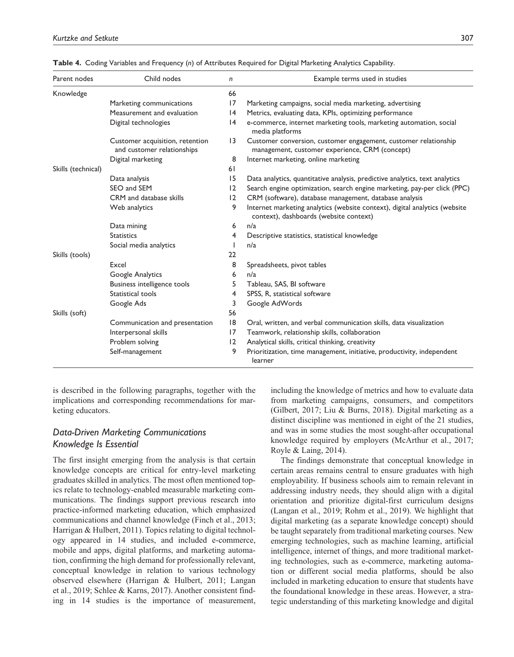| Parent nodes       | Child nodes                                                   | n               | Example terms used in studies                                                                                        |
|--------------------|---------------------------------------------------------------|-----------------|----------------------------------------------------------------------------------------------------------------------|
| Knowledge          |                                                               | 66              |                                                                                                                      |
|                    | Marketing communications                                      | 17              | Marketing campaigns, social media marketing, advertising                                                             |
|                    | Measurement and evaluation                                    | 4               | Metrics, evaluating data, KPIs, optimizing performance                                                               |
|                    | Digital technologies                                          | 4               | e-commerce, internet marketing tools, marketing automation, social<br>media platforms                                |
|                    | Customer acquisition, retention<br>and customer relationships | $\overline{13}$ | Customer conversion, customer engagement, customer relationship<br>management, customer experience, CRM (concept)    |
|                    | Digital marketing                                             | 8               | Internet marketing, online marketing                                                                                 |
| Skills (technical) |                                                               | 61              |                                                                                                                      |
|                    | Data analysis                                                 | 15              | Data analytics, quantitative analysis, predictive analytics, text analytics                                          |
|                    | SEO and SEM                                                   | 12              | Search engine optimization, search engine marketing, pay-per click (PPC)                                             |
|                    | CRM and database skills                                       | 12              | CRM (software), database management, database analysis                                                               |
|                    | Web analytics                                                 | 9               | Internet marketing analytics (website context), digital analytics (website<br>context), dashboards (website context) |
|                    | Data mining                                                   | 6               | n/a                                                                                                                  |
|                    | <b>Statistics</b>                                             | 4               | Descriptive statistics, statistical knowledge                                                                        |
|                    | Social media analytics                                        |                 | n/a                                                                                                                  |
| Skills (tools)     |                                                               | 22              |                                                                                                                      |
|                    | Excel                                                         | 8               | Spreadsheets, pivot tables                                                                                           |
|                    | Google Analytics                                              | 6               | n/a                                                                                                                  |
|                    | Business intelligence tools                                   | 5               | Tableau, SAS, BI software                                                                                            |
|                    | Statistical tools                                             | 4               | SPSS, R, statistical software                                                                                        |
|                    | Google Ads                                                    | 3               | Google AdWords                                                                                                       |
| Skills (soft)      |                                                               | 56              |                                                                                                                      |
|                    | Communication and presentation                                | 18              | Oral, written, and verbal communication skills, data visualization                                                   |
|                    | Interpersonal skills                                          | 17              | Teamwork, relationship skills, collaboration                                                                         |
|                    | Problem solving                                               | 12              | Analytical skills, critical thinking, creativity                                                                     |
|                    | Self-management                                               | 9               | Prioritization, time management, initiative, productivity, independent<br>learner                                    |

**Table 4.** Coding Variables and Frequency (*n*) of Attributes Required for Digital Marketing Analytics Capability.

is described in the following paragraphs, together with the implications and corresponding recommendations for marketing educators.

### *Data-Driven Marketing Communications Knowledge Is Essential*

The first insight emerging from the analysis is that certain knowledge concepts are critical for entry-level marketing graduates skilled in analytics. The most often mentioned topics relate to technology-enabled measurable marketing communications. The findings support previous research into practice-informed marketing education, which emphasized communications and channel knowledge (Finch et al., 2013; Harrigan & Hulbert, 2011). Topics relating to digital technology appeared in 14 studies, and included e-commerce, mobile and apps, digital platforms, and marketing automation, confirming the high demand for professionally relevant, conceptual knowledge in relation to various technology observed elsewhere (Harrigan & Hulbert, 2011; Langan et al., 2019; Schlee & Karns, 2017). Another consistent finding in 14 studies is the importance of measurement,

including the knowledge of metrics and how to evaluate data from marketing campaigns, consumers, and competitors (Gilbert, 2017; Liu & Burns, 2018). Digital marketing as a distinct discipline was mentioned in eight of the 21 studies, and was in some studies the most sought-after occupational knowledge required by employers (McArthur et al., 2017; Royle & Laing, 2014).

The findings demonstrate that conceptual knowledge in certain areas remains central to ensure graduates with high employability. If business schools aim to remain relevant in addressing industry needs, they should align with a digital orientation and prioritize digital-first curriculum designs (Langan et al., 2019; Rohm et al., 2019). We highlight that digital marketing (as a separate knowledge concept) should be taught separately from traditional marketing courses. New emerging technologies, such as machine learning, artificial intelligence, internet of things, and more traditional marketing technologies, such as e-commerce, marketing automation or different social media platforms, should be also included in marketing education to ensure that students have the foundational knowledge in these areas. However, a strategic understanding of this marketing knowledge and digital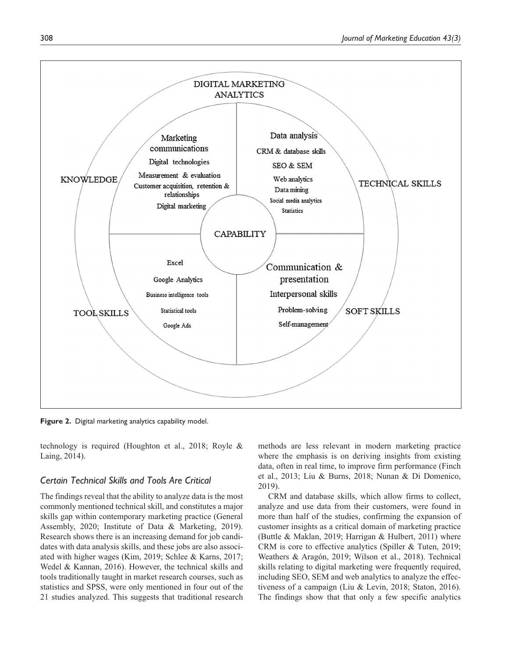

**Figure 2.** Digital marketing analytics capability model.

technology is required (Houghton et al., 2018; Royle & Laing, 2014).

### *Certain Technical Skills and Tools Are Critical*

The findings reveal that the ability to analyze data is the most commonly mentioned technical skill, and constitutes a major skills gap within contemporary marketing practice (General Assembly, 2020; Institute of Data & Marketing, 2019). Research shows there is an increasing demand for job candidates with data analysis skills, and these jobs are also associated with higher wages (Kim, 2019; Schlee & Karns, 2017; Wedel & Kannan, 2016). However, the technical skills and tools traditionally taught in market research courses, such as statistics and SPSS, were only mentioned in four out of the 21 studies analyzed. This suggests that traditional research

methods are less relevant in modern marketing practice where the emphasis is on deriving insights from existing data, often in real time, to improve firm performance (Finch et al., 2013; Liu & Burns, 2018; Nunan & Di Domenico, 2019).

CRM and database skills, which allow firms to collect, analyze and use data from their customers, were found in more than half of the studies, confirming the expansion of customer insights as a critical domain of marketing practice (Buttle & Maklan, 2019; Harrigan & Hulbert, 2011) where CRM is core to effective analytics (Spiller & Tuten, 2019; Weathers & Aragón, 2019; Wilson et al., 2018). Technical skills relating to digital marketing were frequently required, including SEO, SEM and web analytics to analyze the effectiveness of a campaign (Liu & Levin, 2018; Staton, 2016). The findings show that that only a few specific analytics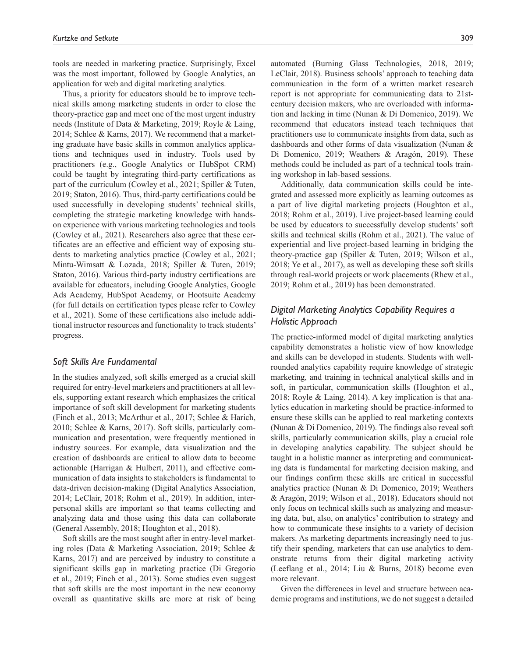tools are needed in marketing practice. Surprisingly, Excel was the most important, followed by Google Analytics, an application for web and digital marketing analytics.

Thus, a priority for educators should be to improve technical skills among marketing students in order to close the theory-practice gap and meet one of the most urgent industry needs (Institute of Data & Marketing, 2019; Royle & Laing, 2014; Schlee & Karns, 2017). We recommend that a marketing graduate have basic skills in common analytics applications and techniques used in industry. Tools used by practitioners (e.g., Google Analytics or HubSpot CRM) could be taught by integrating third-party certifications as part of the curriculum (Cowley et al., 2021; Spiller & Tuten, 2019; Staton, 2016). Thus, third-party certifications could be used successfully in developing students' technical skills, completing the strategic marketing knowledge with handson experience with various marketing technologies and tools (Cowley et al., 2021). Researchers also agree that these certificates are an effective and efficient way of exposing students to marketing analytics practice (Cowley et al., 2021; Mintu-Wimsatt & Lozada, 2018; Spiller & Tuten, 2019; Staton, 2016). Various third-party industry certifications are available for educators, including Google Analytics, Google Ads Academy, HubSpot Academy, or Hootsuite Academy (for full details on certification types please refer to Cowley et al., 2021). Some of these certifications also include additional instructor resources and functionality to track students' progress.

### *Soft Skills Are Fundamental*

In the studies analyzed, soft skills emerged as a crucial skill required for entry-level marketers and practitioners at all levels, supporting extant research which emphasizes the critical importance of soft skill development for marketing students (Finch et al., 2013; McArthur et al., 2017; Schlee & Harich, 2010; Schlee & Karns, 2017). Soft skills, particularly communication and presentation, were frequently mentioned in industry sources. For example, data visualization and the creation of dashboards are critical to allow data to become actionable (Harrigan & Hulbert, 2011), and effective communication of data insights to stakeholders is fundamental to data-driven decision-making (Digital Analytics Association, 2014; LeClair, 2018; Rohm et al., 2019). In addition, interpersonal skills are important so that teams collecting and analyzing data and those using this data can collaborate (General Assembly, 2018; Houghton et al., 2018).

Soft skills are the most sought after in entry-level marketing roles (Data & Marketing Association, 2019; Schlee & Karns, 2017) and are perceived by industry to constitute a significant skills gap in marketing practice (Di Gregorio et al., 2019; Finch et al., 2013). Some studies even suggest that soft skills are the most important in the new economy overall as quantitative skills are more at risk of being automated (Burning Glass Technologies, 2018, 2019; LeClair, 2018). Business schools' approach to teaching data communication in the form of a written market research report is not appropriate for communicating data to 21stcentury decision makers, who are overloaded with information and lacking in time (Nunan & Di Domenico, 2019). We recommend that educators instead teach techniques that practitioners use to communicate insights from data, such as dashboards and other forms of data visualization (Nunan & Di Domenico, 2019; Weathers & Aragón, 2019). These methods could be included as part of a technical tools training workshop in lab-based sessions.

Additionally, data communication skills could be integrated and assessed more explicitly as learning outcomes as a part of live digital marketing projects (Houghton et al., 2018; Rohm et al., 2019). Live project-based learning could be used by educators to successfully develop students' soft skills and technical skills (Rohm et al., 2021). The value of experiential and live project-based learning in bridging the theory-practice gap (Spiller & Tuten, 2019; Wilson et al., 2018; Ye et al., 2017), as well as developing these soft skills through real-world projects or work placements (Rhew et al., 2019; Rohm et al., 2019) has been demonstrated.

### *Digital Marketing Analytics Capability Requires a Holistic Approach*

The practice-informed model of digital marketing analytics capability demonstrates a holistic view of how knowledge and skills can be developed in students. Students with wellrounded analytics capability require knowledge of strategic marketing, and training in technical analytical skills and in soft, in particular, communication skills (Houghton et al., 2018; Royle & Laing, 2014). A key implication is that analytics education in marketing should be practice-informed to ensure these skills can be applied to real marketing contexts (Nunan & Di Domenico, 2019). The findings also reveal soft skills, particularly communication skills, play a crucial role in developing analytics capability. The subject should be taught in a holistic manner as interpreting and communicating data is fundamental for marketing decision making, and our findings confirm these skills are critical in successful analytics practice (Nunan & Di Domenico, 2019; Weathers & Aragón, 2019; Wilson et al., 2018). Educators should not only focus on technical skills such as analyzing and measuring data, but, also, on analytics' contribution to strategy and how to communicate these insights to a variety of decision makers. As marketing departments increasingly need to justify their spending, marketers that can use analytics to demonstrate returns from their digital marketing activity (Leeflang et al., 2014; Liu & Burns, 2018) become even more relevant.

Given the differences in level and structure between academic programs and institutions, we do not suggest a detailed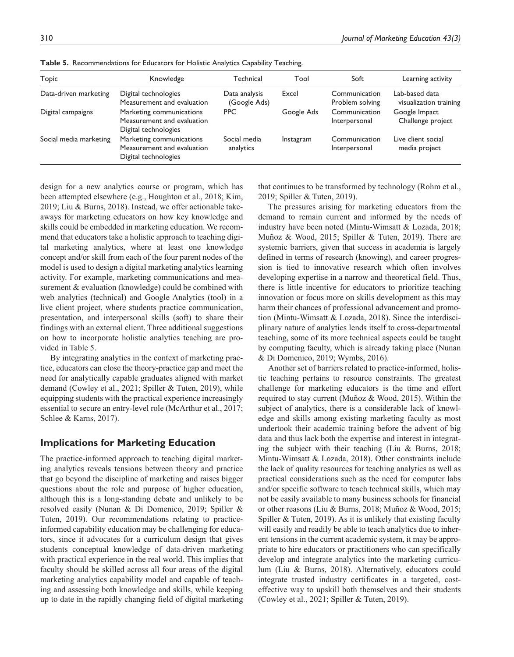| Topic                  | Knowledge                                                                      | Technical                     | Tool       | Soft                             | Learning activity                        |
|------------------------|--------------------------------------------------------------------------------|-------------------------------|------------|----------------------------------|------------------------------------------|
| Data-driven marketing  | Digital technologies<br>Measurement and evaluation                             | Data analysis<br>(Google Ads) | Excel      | Communication<br>Problem solving | Lab-based data<br>visualization training |
| Digital campaigns      | Marketing communications<br>Measurement and evaluation<br>Digital technologies | <b>PPC</b>                    | Google Ads | Communication<br>Interpersonal   | Google Impact<br>Challenge project       |
| Social media marketing | Marketing communications<br>Measurement and evaluation<br>Digital technologies | Social media<br>analytics     | Instagram  | Communication<br>Interpersonal   | Live client social<br>media project      |

**Table 5.** Recommendations for Educators for Holistic Analytics Capability Teaching.

design for a new analytics course or program, which has been attempted elsewhere (e.g., Houghton et al., 2018; Kim, 2019; Liu & Burns, 2018). Instead, we offer actionable takeaways for marketing educators on how key knowledge and skills could be embedded in marketing education. We recommend that educators take a holistic approach to teaching digital marketing analytics, where at least one knowledge concept and/or skill from each of the four parent nodes of the model is used to design a digital marketing analytics learning activity. For example, marketing communications and measurement & evaluation (knowledge) could be combined with web analytics (technical) and Google Analytics (tool) in a live client project, where students practice communication, presentation, and interpersonal skills (soft) to share their findings with an external client. Three additional suggestions on how to incorporate holistic analytics teaching are provided in Table 5.

By integrating analytics in the context of marketing practice, educators can close the theory-practice gap and meet the need for analytically capable graduates aligned with market demand (Cowley et al., 2021; Spiller & Tuten, 2019), while equipping students with the practical experience increasingly essential to secure an entry-level role (McArthur et al., 2017; Schlee & Karns, 2017).

### **Implications for Marketing Education**

The practice-informed approach to teaching digital marketing analytics reveals tensions between theory and practice that go beyond the discipline of marketing and raises bigger questions about the role and purpose of higher education, although this is a long-standing debate and unlikely to be resolved easily (Nunan & Di Domenico, 2019; Spiller & Tuten, 2019). Our recommendations relating to practiceinformed capability education may be challenging for educators, since it advocates for a curriculum design that gives students conceptual knowledge of data-driven marketing with practical experience in the real world. This implies that faculty should be skilled across all four areas of the digital marketing analytics capability model and capable of teaching and assessing both knowledge and skills, while keeping up to date in the rapidly changing field of digital marketing

that continues to be transformed by technology (Rohm et al., 2019; Spiller & Tuten, 2019).

The pressures arising for marketing educators from the demand to remain current and informed by the needs of industry have been noted (Mintu-Wimsatt & Lozada, 2018; Muñoz & Wood, 2015; Spiller & Tuten, 2019). There are systemic barriers, given that success in academia is largely defined in terms of research (knowing), and career progression is tied to innovative research which often involves developing expertise in a narrow and theoretical field. Thus, there is little incentive for educators to prioritize teaching innovation or focus more on skills development as this may harm their chances of professional advancement and promotion (Mintu-Wimsatt & Lozada, 2018). Since the interdisciplinary nature of analytics lends itself to cross-departmental teaching, some of its more technical aspects could be taught by computing faculty, which is already taking place (Nunan & Di Domenico, 2019; Wymbs, 2016).

Another set of barriers related to practice-informed, holistic teaching pertains to resource constraints. The greatest challenge for marketing educators is the time and effort required to stay current (Muñoz & Wood, 2015). Within the subject of analytics, there is a considerable lack of knowledge and skills among existing marketing faculty as most undertook their academic training before the advent of big data and thus lack both the expertise and interest in integrating the subject with their teaching (Liu & Burns, 2018; Mintu-Wimsatt & Lozada, 2018). Other constraints include the lack of quality resources for teaching analytics as well as practical considerations such as the need for computer labs and/or specific software to teach technical skills, which may not be easily available to many business schools for financial or other reasons (Liu & Burns, 2018; Muñoz & Wood, 2015; Spiller & Tuten, 2019). As it is unlikely that existing faculty will easily and readily be able to teach analytics due to inherent tensions in the current academic system, it may be appropriate to hire educators or practitioners who can specifically develop and integrate analytics into the marketing curriculum (Liu & Burns, 2018). Alternatively, educators could integrate trusted industry certificates in a targeted, costeffective way to upskill both themselves and their students (Cowley et al., 2021; Spiller & Tuten, 2019).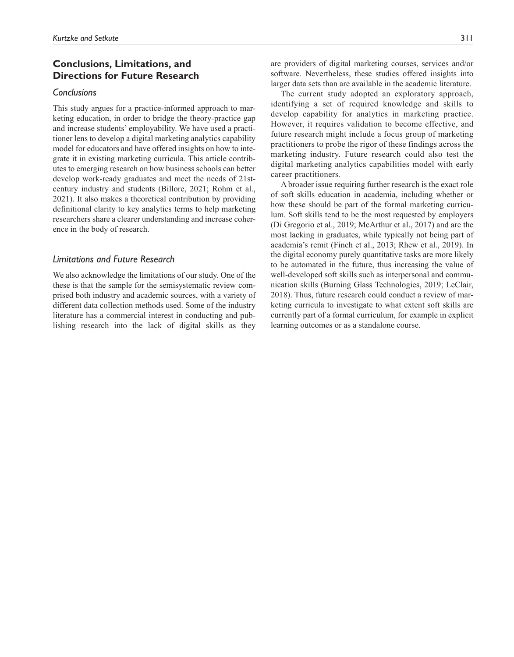### **Conclusions, Limitations, and Directions for Future Research**

### *Conclusions*

This study argues for a practice-informed approach to marketing education, in order to bridge the theory-practice gap and increase students' employability. We have used a practitioner lens to develop a digital marketing analytics capability model for educators and have offered insights on how to integrate it in existing marketing curricula. This article contributes to emerging research on how business schools can better develop work-ready graduates and meet the needs of 21stcentury industry and students (Billore, 2021; Rohm et al., 2021). It also makes a theoretical contribution by providing definitional clarity to key analytics terms to help marketing researchers share a clearer understanding and increase coherence in the body of research.

### *Limitations and Future Research*

We also acknowledge the limitations of our study. One of the these is that the sample for the semisystematic review comprised both industry and academic sources, with a variety of different data collection methods used. Some of the industry literature has a commercial interest in conducting and publishing research into the lack of digital skills as they

are providers of digital marketing courses, services and/or software. Nevertheless, these studies offered insights into larger data sets than are available in the academic literature.

The current study adopted an exploratory approach, identifying a set of required knowledge and skills to develop capability for analytics in marketing practice. However, it requires validation to become effective, and future research might include a focus group of marketing practitioners to probe the rigor of these findings across the marketing industry. Future research could also test the digital marketing analytics capabilities model with early career practitioners.

A broader issue requiring further research is the exact role of soft skills education in academia, including whether or how these should be part of the formal marketing curriculum. Soft skills tend to be the most requested by employers (Di Gregorio et al., 2019; McArthur et al., 2017) and are the most lacking in graduates, while typically not being part of academia's remit (Finch et al., 2013; Rhew et al., 2019). In the digital economy purely quantitative tasks are more likely to be automated in the future, thus increasing the value of well-developed soft skills such as interpersonal and communication skills (Burning Glass Technologies, 2019; LeClair, 2018). Thus, future research could conduct a review of marketing curricula to investigate to what extent soft skills are currently part of a formal curriculum, for example in explicit learning outcomes or as a standalone course.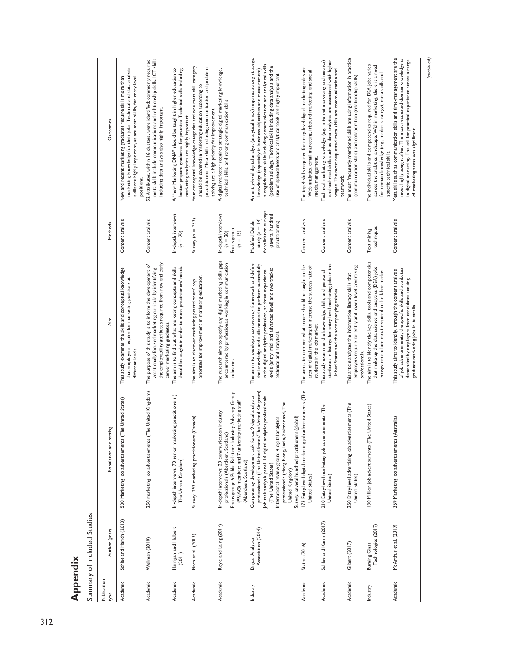Summary of Included Studies. Summary of Included Studies.

| Publication<br>type | Author (year)                               | Population and setting                                                                                                                                                                                                                                                                                                                                                               | Aim                                                                                                                                                                                                                                                                   | Methods                                                                                              | Outcomes                                                                                                                                                                                                                                                                                                                                                     |
|---------------------|---------------------------------------------|--------------------------------------------------------------------------------------------------------------------------------------------------------------------------------------------------------------------------------------------------------------------------------------------------------------------------------------------------------------------------------------|-----------------------------------------------------------------------------------------------------------------------------------------------------------------------------------------------------------------------------------------------------------------------|------------------------------------------------------------------------------------------------------|--------------------------------------------------------------------------------------------------------------------------------------------------------------------------------------------------------------------------------------------------------------------------------------------------------------------------------------------------------------|
| Academic            | Schlee and Harich (2010)                    | The United States)<br>500 Marketing job advertisements (T                                                                                                                                                                                                                                                                                                                            | This study examines the skills and conceptual knowledge<br>that employers require for marketing positions at<br>different levels                                                                                                                                      | Content analysis                                                                                     | marketing knowledge for their jobs. Technical and data analysis<br>New and recent marketing graduates require skills more than<br>skills are highly important, as are meta skills, for entry-level<br>positions.                                                                                                                                             |
| Academic            | Wellman (2010)                              | The United Kingdom)<br>250 marketing job advertisements (T                                                                                                                                                                                                                                                                                                                           | the employability attributes required from new and early<br>The purpose of this study is to inform the development of<br>vocationally focused marketing curricula by identifying<br>career marketing graduates.                                                       | Content analysis                                                                                     | meta skills include communications and relationship skills. ICT skills<br>52 Attributes, within 16 clusters, were identified; commonly required<br>including data analysis also highly important.                                                                                                                                                            |
| Academic            | Harrigan and Hulbert<br>(2011)              | In-depth interviews: 70 senior marketing practitioners (<br>The United Kingdom)                                                                                                                                                                                                                                                                                                      | The aim is to find out what marketing concepts and skills<br>should be taught in order to meet practitioners' needs.                                                                                                                                                  | In-depth interviews<br>$(n = 70)$                                                                    | A "new Marketing DNA" should be taught in higher education to<br>better prepare graduates for practice. Technical skills including<br>marketing analytics are highly important.                                                                                                                                                                              |
| Academic            | Finch et al. (2013)                         | Survey: 253 marketing practitioners (Canada)                                                                                                                                                                                                                                                                                                                                         | priorities for improvement in marketing education.<br>The aim is to discover marketing practitioners' top                                                                                                                                                             | Survey ( $n = 253$ )                                                                                 | Four conceptual knowledge categories and one meta skill category<br>practitioners. Meta skills including communication and problem<br>should be covered in marketing education according to<br>solving are a high priority for improvement.                                                                                                                  |
| Academic            | Royle and Laing (2014)                      | Focus group: 6 Public Relations Industry Advisory Group<br>(PRIAG) members and 7 university marketing staff<br>In-depth interviews: 20 communication industry<br>professionals (Aberdeen, Scotland<br>(Aberdeen, Scotland)                                                                                                                                                           | The research aims to specify any digital marketing skills gaps<br>encountered by professionals working in communication<br>industries                                                                                                                                 | In-depth interviews<br>Focus group<br>$(n = 20)$<br>$(n = 13)$                                       | A digital marketer requires strategic digital marketing knowledge,<br>technical skills, and strong communication skills.                                                                                                                                                                                                                                     |
| Industry            | Association (2014)<br>Digital Analytics     | professionals (The United States/The United Kingdom)<br>Competency development task force: 9 digital analytics<br>Job task analysis panel: 14 digital analytics professionals<br>professionals (Hong Kong, India, Switzerland, The<br>Survey: several hundred practitioners (global)<br>analytics<br>International review group: 4 digital<br>(The United States)<br>United Kingdom) | The aim is to develop a competency framework and define<br>the knowledge and skills needed to perform successfully<br>levels (entry, mid, and advanced level) and two tracks:<br>in the digital analytics profession, at three experience<br>technical and analytical | 6x validation surveys<br>(several hundred<br>study ( $n = 14$ )<br>Modified Delphi<br>practitioners) | An entry-level digital analyst (analytical track) requires strong strategic<br>alongside meta skills including communication and analytical skills<br>(problem solving). Technical skills including data analysis and the<br>knowledge (especially in business objectives and measurement)<br>use of spreadsheets and analytical tools are highly important. |
| Academic            | Staton (2016)                               | 173 Entry-level digital marketing job advertisements (The<br>United States)                                                                                                                                                                                                                                                                                                          | The aim is to uncover what topics should be taught in the<br>area of digital marketing to increase the success rate of<br>students in the job market                                                                                                                  | Content analysis                                                                                     | The top 4 skills required for entry-level digital marketing roles are<br>Web analytics, email marketing, inbound marketing, and social<br>media management.                                                                                                                                                                                                  |
| Academic            | Schlee and Karns (2017)                     | 210 Entry-level marketing job advertisements (The<br>United States)                                                                                                                                                                                                                                                                                                                  | attributes in listings for entry-level marketing jobs in the<br>This study examines the knowledge, skills, and personal<br>United States and the accompanying salaries.                                                                                               | Content analysis                                                                                     | and technical skills such as data analytics are associated with higher<br>Technical marketing knowledge (e.g., internet marketing and metrics)<br>wages. The most requested meta skills are communication and<br>teamwork.                                                                                                                                   |
| Academic            | Gilbert (2017)                              | 250 Entry-level advertising job advertisements (The<br>United States)                                                                                                                                                                                                                                                                                                                | employers require for entry and lower level advertising<br>This article analyzes the information literacy skills that<br>professionals.                                                                                                                               | Content analysis                                                                                     | The most frequently mentioned skills are using information in practice<br>(communication skills) and collaboration (relationship skills)                                                                                                                                                                                                                     |
| Industry            | Technologies (2017)<br><b>Burning Glass</b> | United States)<br>130 Million job advertisements (The                                                                                                                                                                                                                                                                                                                                | The aim is to identify the key skills, tools and competencies<br>that make up the data science and analytics (DSA) jobs<br>ecosystem and are most required in the labor market                                                                                        | techniques<br>Text mining                                                                            | The individual skills and competencies required for DSA jobs varies<br>across the analytics landscape. Within marketing, there is a need<br>for domain knowledge (e.g., market strategy), meta skills and<br>specific technical skills.                                                                                                                      |
| Academic            | McArthur et al. (2017)                      | 359 Marketing job advertisements (Australia)                                                                                                                                                                                                                                                                                                                                         | of job advertisements, the specific skills and attributes<br>This study aims to identify, through the content analysis<br>demanded by employers from candidates seeking<br>graduate marketing jobs in Australia.                                                      | Content analysis                                                                                     | Meta skills such as communication skills and time-management are the<br>most highly sought after. The most requested domain knowledge is<br>in digital marketing. The call for practical experience across a range<br>of marketing areas was significant.                                                                                                    |

*(continued)*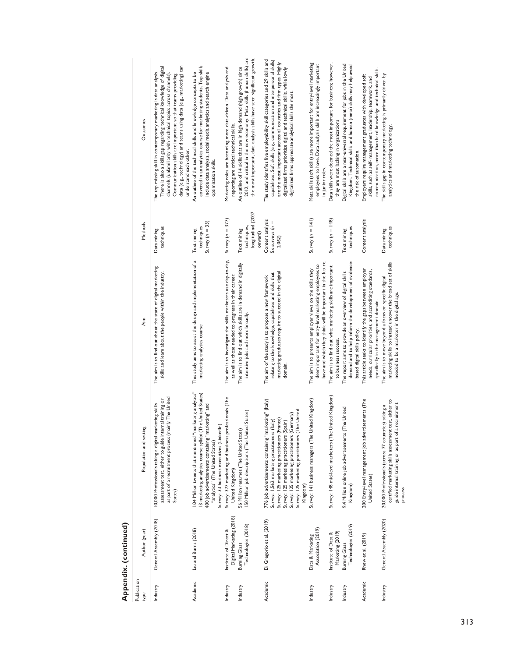| í |
|---|
|   |
|   |
|   |
|   |
|   |
|   |
|   |
|   |
|   |
|   |
|   |
|   |

| Publication<br>type | Author (year)                                     | Population and setting                                                                                                                                                                                                                                                                                                    | Aim                                                                                                                                                                               | Methods                                                     | Outcomes                                                                                                                                                                                                                                                                                                                                                                 |
|---------------------|---------------------------------------------------|---------------------------------------------------------------------------------------------------------------------------------------------------------------------------------------------------------------------------------------------------------------------------------------------------------------------------|-----------------------------------------------------------------------------------------------------------------------------------------------------------------------------------|-------------------------------------------------------------|--------------------------------------------------------------------------------------------------------------------------------------------------------------------------------------------------------------------------------------------------------------------------------------------------------------------------------------------------------------------------|
| Industry            | General Assembly (2018)                           | as part of a recruitment process (mainly The United<br>assessment test, either to guide internal training or<br>10,000 Professionals taking a digital marketing skills<br>States)                                                                                                                                         | The aim is to find out about the state of digital marketing<br>skills and learn about the people within the industry.                                                             | techniques<br>Data mining                                   | data (e.g., technology) and teams using data (e.g., marketing) can<br>There is also a skills gap regarding technical knowledge of digital<br>The top missing skill in contemporary marketing is data analysis.<br>channels (unfamiliarity with technical topics across channels)<br>Communication skills are important so that teams providing<br>understand each other. |
| Academic            | Liu and Burns (2018)                              | 1.04 Million tweets that mentioned "marketing analytics"<br>The United States)<br>400 Job advertisements containing "marketing" and<br>Survey: 33 business executives (LinkedIn)<br>13 marketing analytics course syllabi (<br>"analytics" (The United States)                                                            | This study aims to assist the design and implementation of a<br>marketing analytics course                                                                                        | Survey $(n = 33)$<br>techniques<br>Text mining              | covered in an analytics course for marketing students. Top skills<br>include data analysis, social media analytics and search engine<br>An outline of the technical skills and knowledge concepts to be<br>optimization skills.                                                                                                                                          |
| Industry            | Digital Marketing (2018)<br>Institute of Direct & | Survey: 377 marketing and business professionals (The<br>United Kingdom)                                                                                                                                                                                                                                                  | The aim is to investigate the skills marketers use day-to-day,<br>as well as those needed to progress in their career.                                                            | Survey ( $n = 377$ )                                        | Marketing roles are becoming more data-driven. Data analysis and<br>reporting are critical technical skills.                                                                                                                                                                                                                                                             |
| Industry            | Technologies (2018)<br>Burning Glass              | 150 Million job descriptions (The United States)<br>56 Million resumes (The United States)                                                                                                                                                                                                                                | The aim is to find out which skills are in demand in digitally<br>intensive jobs and more broadly.                                                                                | longitudinal (2007<br>techniques,<br>Text mining<br>onward) | 2012, and critical in the new economy. Meta skills (human skills) are<br>the most important, data analysis skills have seen significant growth.<br>An outline of 14 skills that are in high demand (high growth) since                                                                                                                                                   |
| Academic            | Di Gregorio et al. (2019)                         | 776 Job advertisements containing "marketing" (Italy)<br>Survey: 125 marketing practitioners (The United<br>Germany)<br>Survey: 125 marketing practitioners (France)<br>Survey: 1,562 marketing practitioners (Italy)<br>Survey: 125 marketing practitioners (Spain)<br>Survey: 125 marketing practitioners (<br>Kingdom) | marketing graduates require to succeed in the digital<br>relating to the knowledge, capabilities and skills that<br>The aim of the study is to propose a new framework<br>domain. | Content analysis<br>$5x$ surveys $(n =$<br>2,062)           | The study identifies five employability skill categories and 29 skills and<br>capabilities. Soft skills (e.g., communication and interpersonal skills)<br>are the most important across all countries and firm types. Highly<br>digitalized firms prioritize digital and technical skills, while lowly<br>digitalized firms appreciate analytical skills the most.       |
| Industry            | Association (2019)<br>Data & Marketing            | Survey: 141 business managers (The United Kingdom)                                                                                                                                                                                                                                                                        | have and which they think will be important in the future.<br>deem important for entry-level marketing employees to<br>The aim is to presents employer views on the skills they   | Survey $(n = 141)$                                          | Meta skills (soft skills) are more important for entry-level marketing<br>employees to have. Data analysis skills are increasingly important<br>in junior roles.                                                                                                                                                                                                         |
| Industry            | Marketing (2019)<br>Institute of Data &           | United Kingdom)<br>Survey: 148 mid-level marketers (The                                                                                                                                                                                                                                                                   | The aim is to find out what marketing skills are important<br>to business success.                                                                                                | Survey $(n = 148)$                                          | Data skills were deemed the most important for business; however,<br>they are most lacking in organizations                                                                                                                                                                                                                                                              |
| Industry            | Technologies (2019)<br>Burning Glass              | 9.4 Million online job advertisements (The United<br>Kingdom)                                                                                                                                                                                                                                                             | demand and to help inform the development of evidence-<br>The report aims to provide an overview of digital skills<br>based digital skills policy.                                | techniques<br>Text mining                                   | Digital skills are a near-universal requirement for jobs in the United<br>Kingdom. Technical skills and human (meta) skills may help avoid<br>the risk of automation.                                                                                                                                                                                                    |
| Academic            | Rhew et al. (2019)                                | 200 Entry-level management job advertisements (The<br>United States)                                                                                                                                                                                                                                                      | This article seeks to identify the gaps between employer<br>needs, curricular priorities, and accrediting standards,<br>specifically in the management domain.                    | Content analysis                                            | communication, more than hard knowledge and technical skills.<br>Employers require management graduates with developed soft<br>skills, such as self-management, leadership, teamwork, and                                                                                                                                                                                |
| Industry            | General Assembly (2020)                           | certified marketing skills assessment test, either to<br>guide internal training or as part of a recruitment<br>20,000 Professionals (across 77 countries) taking a<br>process                                                                                                                                            | marketing skills to instead uncover the broad set of skills<br>The aim is to move beyond a focus on specific digital<br>needed to be a marketer in the digital age.               | techniques<br>Data mining                                   | The skills gap in contemporary marketing is primarily driven by<br>analytics and marketing technology.                                                                                                                                                                                                                                                                   |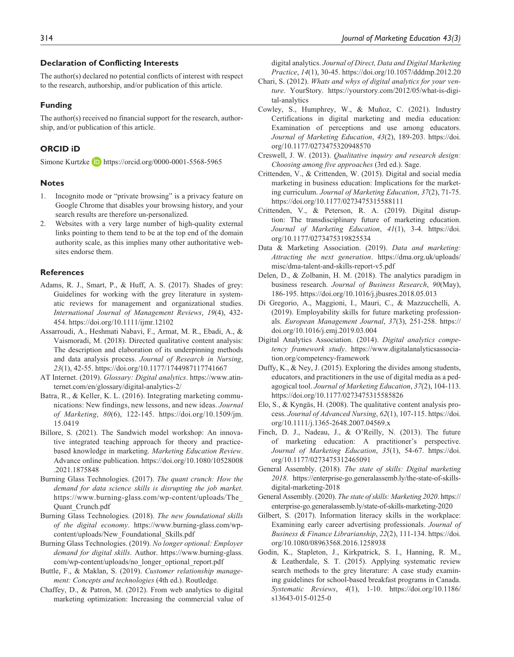#### **Declaration of Conflicting Interests**

The author(s) declared no potential conflicts of interest with respect to the research, authorship, and/or publication of this article.

#### **Funding**

The author(s) received no financial support for the research, authorship, and/or publication of this article.

### **ORCID iD**

Simone Kurtzke **b** <https://orcid.org/0000-0001-5568-5965>

#### **Notes**

- 1. Incognito mode or "private browsing" is a privacy feature on Google Chrome that disables your browsing history, and your search results are therefore un-personalized.
- 2. Websites with a very large number of high-quality external links pointing to them tend to be at the top end of the domain authority scale, as this implies many other authoritative websites endorse them.

### **References**

- Adams, R. J., Smart, P., & Huff, A. S. (2017). Shades of grey: Guidelines for working with the grey literature in systematic reviews for management and organizational studies. *International Journal of Management Reviews*, *19*(4), 432- 454.<https://doi.org/10.1111/ijmr.12102>
- Assarroudi, A., Heshmati Nabavi, F., Armat, M. R., Ebadi, A., & Vaismoradi, M. (2018). Directed qualitative content analysis: The description and elaboration of its underpinning methods and data analysis process. *Journal of Research in Nursing*, *23*(1), 42-55.<https://doi.org/10.1177/1744987117741667>
- AT Internet. (2019). *Glossary: Digital analytics*. [https://www.atin](https://www.atinternet.com/en/glossary/digital-analytics-2/)[ternet.com/en/glossary/digital-analytics-2/](https://www.atinternet.com/en/glossary/digital-analytics-2/)
- Batra, R., & Keller, K. L. (2016). Integrating marketing communications: New findings, new lessons, and new ideas. *Journal of Marketing*, *80*(6), 122-145. [https://doi.org/10.1509/jm.](https://doi.org/10.1509/jm.15.0419) [15.0419](https://doi.org/10.1509/jm.15.0419)
- Billore, S. (2021). The Sandwich model workshop: An innovative integrated teaching approach for theory and practicebased knowledge in marketing. *Marketing Education Review*. Advance online publication. [https://doi.org/10.1080/10528008](https://doi.org/10.1080/10528008.2021.1875848) [.2021.1875848](https://doi.org/10.1080/10528008.2021.1875848)
- Burning Glass Technologies. (2017). *The quant crunch: How the demand for data science skills is disrupting the job market*. [https://www.burning-glass.com/wp-content/uploads/The\\_](https://www.burning-glass.com/wp-content/uploads/The_Quant_Crunch.pdf) [Quant\\_Crunch.pdf](https://www.burning-glass.com/wp-content/uploads/The_Quant_Crunch.pdf)
- Burning Glass Technologies. (2018). *The new foundational skills of the digital economy*. [https://www.burning-glass.com/wp](https://www.burning-glass.com/wp-content/uploads/New_Foundational_Skills.pdf)[content/uploads/New\\_Foundational\\_Skills.pdf](https://www.burning-glass.com/wp-content/uploads/New_Foundational_Skills.pdf)
- Burning Glass Technologies. (2019). *No longer optional: Employer demand for digital skills*. Author. [https://www.burning-glass.](https://www.burning-glass.com/wp-content/uploads/no_longer_optional_report.pdf) [com/wp-content/uploads/no\\_longer\\_optional\\_report.pdf](https://www.burning-glass.com/wp-content/uploads/no_longer_optional_report.pdf)
- Buttle, F., & Maklan, S. (2019). *Customer relationship management: Concepts and technologies* (4th ed.). Routledge.
- Chaffey, D., & Patron, M. (2012). From web analytics to digital marketing optimization: Increasing the commercial value of

digital analytics. *Journal of Direct, Data and Digital Marketing Practice*, *14*(1), 30-45.<https://doi.org/10.1057/dddmp.2012.20>

- Chari, S. (2012). *Whats and whys of digital analytics for your venture*. YourStory. [https://yourstory.com/2012/05/what-is-digi](https://yourstory.com/2012/05/what-is-digital-analytics)[tal-analytics](https://yourstory.com/2012/05/what-is-digital-analytics)
- Cowley, S., Humphrey, W., & Muñoz, C. (2021). Industry Certifications in digital marketing and media education: Examination of perceptions and use among educators. *Journal of Marketing Education*, *43*(2), 189-203. [https://doi.](https://doi.org/10.1177/0273475320948570) [org/10.1177/0273475320948570](https://doi.org/10.1177/0273475320948570)
- Creswell, J. W. (2013). *Qualitative inquiry and research design: Choosing among five approaches* (3rd ed.). Sage.
- Crittenden, V., & Crittenden, W. (2015). Digital and social media marketing in business education: Implications for the marketing curriculum. *Journal of Marketing Education*, *37*(2), 71-75. <https://doi.org/10.1177/0273475315588111>
- Crittenden, V., & Peterson, R. A. (2019). Digital disruption: The transdisciplinary future of marketing education. *Journal of Marketing Education*, *41*(1), 3-4. [https://doi.](https://doi.org/10.1177/0273475319825534) [org/10.1177/0273475319825534](https://doi.org/10.1177/0273475319825534)
- Data & Marketing Association. (2019). *Data and marketing: Attracting the next generation*. [https://dma.org.uk/uploads/](https://dma.org.uk/uploads/misc/dma-talent-and-skills-report-v5.pdf) [misc/dma-talent-and-skills-report-v5.pdf](https://dma.org.uk/uploads/misc/dma-talent-and-skills-report-v5.pdf)
- Delen, D., & Zolbanin, H. M. (2018). The analytics paradigm in business research. *Journal of Business Research*, *90*(May), 186-195. <https://doi.org/10.1016/j.jbusres.2018.05.013>
- Di Gregorio, A., Maggioni, I., Mauri, C., & Mazzucchelli, A. (2019). Employability skills for future marketing professionals. *European Management Journal*, *37*(3), 251-258. [https://](https://doi.org/10.1016/j.emj.2019.03.004) [doi.org/10.1016/j.emj.2019.03.004](https://doi.org/10.1016/j.emj.2019.03.004)
- Digital Analytics Association. (2014). *Digital analytics competency framework study*. [https://www.digitalanalyticsassocia](https://www.digitalanalyticsassociation.org/competency-framework)[tion.org/competency-framework](https://www.digitalanalyticsassociation.org/competency-framework)
- Duffy, K., & Ney, J. (2015). Exploring the divides among students, educators, and practitioners in the use of digital media as a pedagogical tool. *Journal of Marketing Education*, *37*(2), 104-113. <https://doi.org/10.1177/0273475315585826>
- Elo, S., & Kyngäs, H. (2008). The qualitative content analysis process. *Journal of Advanced Nursing*, *62*(1), 107-115. [https://doi.](https://doi.org/10.1111/j.1365-2648.2007.04569.x) [org/10.1111/j.1365-2648.2007.04569.x](https://doi.org/10.1111/j.1365-2648.2007.04569.x)
- Finch, D. J., Nadeau, J., & O'Reilly, N. (2013). The future of marketing education: A practitioner's perspective. *Journal of Marketing Education*, *35*(1), 54-67. [https://doi.](https://doi.org/10.1177/0273475312465091) [org/10.1177/0273475312465091](https://doi.org/10.1177/0273475312465091)
- General Assembly. (2018). *The state of skills: Digital marketing 2018*. [https://enterprise-go.generalassemb.ly/the-state-of-skills](https://enterprise-go.generalassemb.ly/the-state-of-skills-digital-marketing-2018)[digital-marketing-2018](https://enterprise-go.generalassemb.ly/the-state-of-skills-digital-marketing-2018)
- General Assembly. (2020). *The state of skills: Marketing 2020*. [https://](https://enterprise-go.generalassemb.ly/state-of-skills-marketing-2020) [enterprise-go.generalassemb.ly/state-of-skills-marketing-2020](https://enterprise-go.generalassemb.ly/state-of-skills-marketing-2020)
- Gilbert, S. (2017). Information literacy skills in the workplace: Examining early career advertising professionals. *Journal of Business & Finance Librarianship*, *22*(2), 111-134. [https://doi.](https://doi.org/10.1080/08963568.2016.1258938) [org/10.1080/08963568.2016.1258938](https://doi.org/10.1080/08963568.2016.1258938)
- Godin, K., Stapleton, J., Kirkpatrick, S. I., Hanning, R. M., & Leatherdale, S. T. (2015). Applying systematic review search methods to the grey literature: A case study examining guidelines for school-based breakfast programs in Canada. *Systematic Reviews*, *4*(1), 1-10. [https://doi.org/10.1186/](https://doi.org/10.1186/s13643-015-0125-0) [s13643-015-0125-0](https://doi.org/10.1186/s13643-015-0125-0)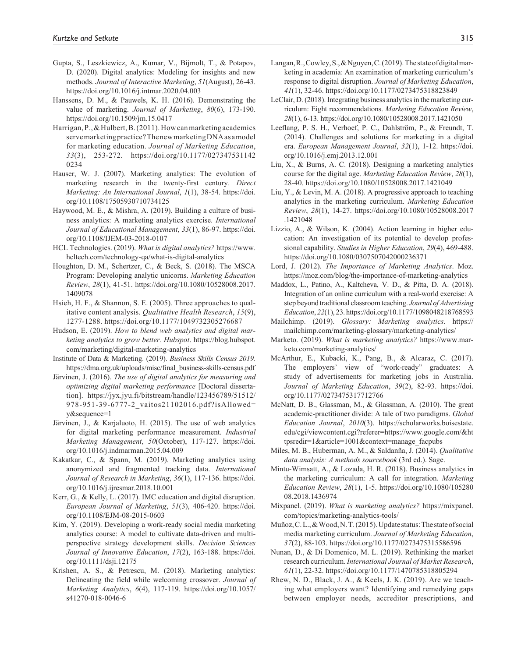- Gupta, S., Leszkiewicz, A., Kumar, V., Bijmolt, T., & Potapov, D. (2020). Digital analytics: Modeling for insights and new methods. *Journal of Interactive Marketing*, *51*(August), 26-43. <https://doi.org/10.1016/j.intmar.2020.04.003>
- Hanssens, D. M., & Pauwels, K. H. (2016). Demonstrating the value of marketing. *Journal of Marketing*, *80*(6), 173-190. <https://doi.org/10.1509/jm.15.0417>
- Harrigan, P., & Hulbert, B. (2011). How can marketing academics serve marketing practice? The new marketing DNA as a model for marketing education. *Journal of Marketing Education*, *33*(3), 253-272. [https://doi.org/10.1177/027347531142](https://doi.org/10.1177/0273475311420234) [0234](https://doi.org/10.1177/0273475311420234)
- Hauser, W. J. (2007). Marketing analytics: The evolution of marketing research in the twenty-first century. *Direct Marketing: An International Journal*, *1*(1), 38-54. [https://doi.](https://doi.org/10.1108/17505930710734125) [org/10.1108/17505930710734125](https://doi.org/10.1108/17505930710734125)
- Haywood, M. E., & Mishra, A. (2019). Building a culture of business analytics: A marketing analytics exercise. *International Journal of Educational Management*, *33*(1), 86-97. [https://doi.](https://doi.org/10.1108/IJEM-03-2018-0107) [org/10.1108/IJEM-03-2018-0107](https://doi.org/10.1108/IJEM-03-2018-0107)
- HCL Technologies. (2019). *What is digital analytics?* [https://www.](https://www.hcltech.com/technology-qa/what-is-digital-analytics) [hcltech.com/technology-qa/what-is-digital-analytics](https://www.hcltech.com/technology-qa/what-is-digital-analytics)
- Houghton, D. M., Schertzer, C., & Beck, S. (2018). The MSCA Program: Developing analytic unicorns. *Marketing Education Review*, *28*(1), 41-51. [https://doi.org/10.1080/10528008.2017.](https://doi.org/10.1080/10528008.2017.1409078) [1409078](https://doi.org/10.1080/10528008.2017.1409078)
- Hsieh, H. F., & Shannon, S. E. (2005). Three approaches to qualitative content analysis. *Qualitative Health Research*, *15*(9), 1277-1288.<https://doi.org/10.1177/1049732305276687>
- Hudson, E. (2019). *How to blend web analytics and digital marketing analytics to grow better. Hubspot*. [https://blog.hubspot.](https://blog.hubspot.com/marketing/digital-marketing-analytics) [com/marketing/digital-marketing-analytics](https://blog.hubspot.com/marketing/digital-marketing-analytics)
- Institute of Data & Marketing. (2019). *Business Skills Census 2019*. [https://dma.org.uk/uploads/misc/final\\_business-skills-census.pdf](https://dma.org.uk/uploads/misc/final_business-skills-census.pdf)
- Järvinen, J. (2016). *The use of digital analytics for measuring and optimizing digital marketing performance* [Doctoral dissertation]. [https://jyx.jyu.fi/bitstream/handle/123456789/51512/](https://jyx.jyu.fi/bitstream/handle/123456789/51512/978-951-39-6777-2_vaitos21102016.pdf?isAllowed=y&sequence=1) [978-951-39-6777-2\\_vaitos21102016.pdf?isAllowed=](https://jyx.jyu.fi/bitstream/handle/123456789/51512/978-951-39-6777-2_vaitos21102016.pdf?isAllowed=y&sequence=1) [y&sequence=1](https://jyx.jyu.fi/bitstream/handle/123456789/51512/978-951-39-6777-2_vaitos21102016.pdf?isAllowed=y&sequence=1)
- Järvinen, J., & Karjaluoto, H. (2015). The use of web analytics for digital marketing performance measurement. *Industrial Marketing Management*, *50*(October), 117-127. [https://doi.](https://doi.org/10.1016/j.indmarman.2015.04.009) [org/10.1016/j.indmarman.2015.04.009](https://doi.org/10.1016/j.indmarman.2015.04.009)
- Kakatkar, C., & Spann, M. (2019). Marketing analytics using anonymized and fragmented tracking data. *International Journal of Research in Marketing*, *36*(1), 117-136. [https://doi.](https://doi.org/10.1016/j.ijresmar.2018.10.001) [org/10.1016/j.ijresmar.2018.10.001](https://doi.org/10.1016/j.ijresmar.2018.10.001)
- Kerr, G., & Kelly, L. (2017). IMC education and digital disruption. *European Journal of Marketing*, *51*(3), 406-420. [https://doi.](https://doi.org/10.1108/EJM-08-2015-0603) [org/10.1108/EJM-08-2015-0603](https://doi.org/10.1108/EJM-08-2015-0603)
- Kim, Y. (2019). Developing a work-ready social media marketing analytics course: A model to cultivate data-driven and multiperspective strategy development skills. *Decision Sciences Journal of Innovative Education*, *17*(2), 163-188. [https://doi.](https://doi.org/10.1111/dsji.12175) [org/10.1111/dsji.12175](https://doi.org/10.1111/dsji.12175)
- Krishen, A. S., & Petrescu, M. (2018). Marketing analytics: Delineating the field while welcoming crossover. *Journal of Marketing Analytics*, *6*(4), 117-119. [https://doi.org/10.1057/](https://doi.org/10.1057/s41270-018-0046-6) [s41270-018-0046-6](https://doi.org/10.1057/s41270-018-0046-6)
- Langan, R., Cowley, S., & Nguyen, C. (2019). The state of digital marketing in academia: An examination of marketing curriculum's response to digital disruption. *Journal of Marketing Education*, *41*(1), 32-46.<https://doi.org/10.1177/0273475318823849>
- LeClair, D. (2018). Integrating business analytics in the marketing curriculum: Eight recommendations. *Marketing Education Review*, *28*(1), 6-13. <https://doi.org/10.1080/10528008.2017.1421050>
- Leeflang, P. S. H., Verhoef, P. C., Dahlström, P., & Freundt, T. (2014). Challenges and solutions for marketing in a digital era. *European Management Journal*, *32*(1), 1-12. [https://doi.](https://doi.org/10.1016/j.emj.2013.12.001) [org/10.1016/j.emj.2013.12.001](https://doi.org/10.1016/j.emj.2013.12.001)
- Liu, X., & Burns, A. C. (2018). Designing a marketing analytics course for the digital age. *Marketing Education Review*, *28*(1), 28-40.<https://doi.org/10.1080/10528008.2017.1421049>
- Liu, Y., & Levin, M. A. (2018). A progressive approach to teaching analytics in the marketing curriculum. *Marketing Education Review*, *28*(1), 14-27. [https://doi.org/10.1080/10528008.2017](https://doi.org/10.1080/10528008.2017.1421048) [.1421048](https://doi.org/10.1080/10528008.2017.1421048)
- Lizzio, A., & Wilson, K. (2004). Action learning in higher education: An investigation of its potential to develop professional capability. *Studies in Higher Education*, *29*(4), 469-488. <https://doi.org/10.1080/0307507042000236371>
- Lord, J. (2012). *The Importance of Marketing Analytics*. Moz. <https://moz.com/blog/the-importance-of-marketing-analytics>
- Maddox, L., Patino, A., Kaltcheva, V. D., & Pitta, D. A. (2018). Integration of an online curriculum with a real-world exercise: A step beyond traditional classroom teaching. *Journal of Advertising Education*, *22*(1), 23.<https://doi.org/10.1177/1098048218768593>
- Mailchimp. (2019). *Glossary: Marketing analytics*. [https://](https://mailchimp.com/marketing-glossary/marketing-analytics/) [mailchimp.com/marketing-glossary/marketing-analytics/](https://mailchimp.com/marketing-glossary/marketing-analytics/)
- Marketo. (2019). *What is marketing analytics?* [https://www.mar](https://www.marketo.com/marketing-analytics/)[keto.com/marketing-analytics/](https://www.marketo.com/marketing-analytics/)
- McArthur, E., Kubacki, K., Pang, B., & Alcaraz, C. (2017). The employers' view of "work-ready" graduates: A study of advertisements for marketing jobs in Australia. *Journal of Marketing Education*, *39*(2), 82-93. [https://doi.](https://doi.org/10.1177/0273475317712766) [org/10.1177/0273475317712766](https://doi.org/10.1177/0273475317712766)
- McNatt, D. B., Glassman, M., & Glassman, A. (2010). The great academic-practitioner divide: A tale of two paradigms. *Global Education Journal*, *2010*(3). [https://scholarworks.boisestate.](https://scholarworks.boisestate.edu/cgi/viewcontent.cgi?referer=https://www.google.com/&httpsredir=1&article=1001&context=manage_facpubs) [edu/cgi/viewcontent.cgi?referer=https://www.google.com/&ht](https://scholarworks.boisestate.edu/cgi/viewcontent.cgi?referer=https://www.google.com/&httpsredir=1&article=1001&context=manage_facpubs) [tpsredir=1&article=1001&context=manage\\_facpubs](https://scholarworks.boisestate.edu/cgi/viewcontent.cgi?referer=https://www.google.com/&httpsredir=1&article=1001&context=manage_facpubs)
- Miles, M. B., Huberman, A. M., & Saldanña, J. (2014). *Qualitative data analysis: A methods sourcebook* (3rd ed.). Sage.
- Mintu-Wimsatt, A., & Lozada, H. R. (2018). Business analytics in the marketing curriculum: A call for integration. *Marketing Education Review*, *28*(1), 1-5. [https://doi.org/10.1080/105280](https://doi.org/10.1080/10528008.2018.1436974) [08.2018.1436974](https://doi.org/10.1080/10528008.2018.1436974)
- Mixpanel. (2019). *What is marketing analytics?* [https://mixpanel.](https://mixpanel.com/topics/marketing-analytics-tools/) [com/topics/marketing-analytics-tools/](https://mixpanel.com/topics/marketing-analytics-tools/)
- Muñoz, C. L., & Wood, N. T. (2015). Update status: The state of social media marketing curriculum. *Journal of Marketing Education*, *37*(2), 88-103.<https://doi.org/10.1177/0273475315586596>
- Nunan, D., & Di Domenico, M. L. (2019). Rethinking the market research curriculum. *International Journal of Market Research*, *61*(1), 22-32. <https://doi.org/10.1177/1470785318805294>
- Rhew, N. D., Black, J. A., & Keels, J. K. (2019). Are we teaching what employers want? Identifying and remedying gaps between employer needs, accreditor prescriptions, and